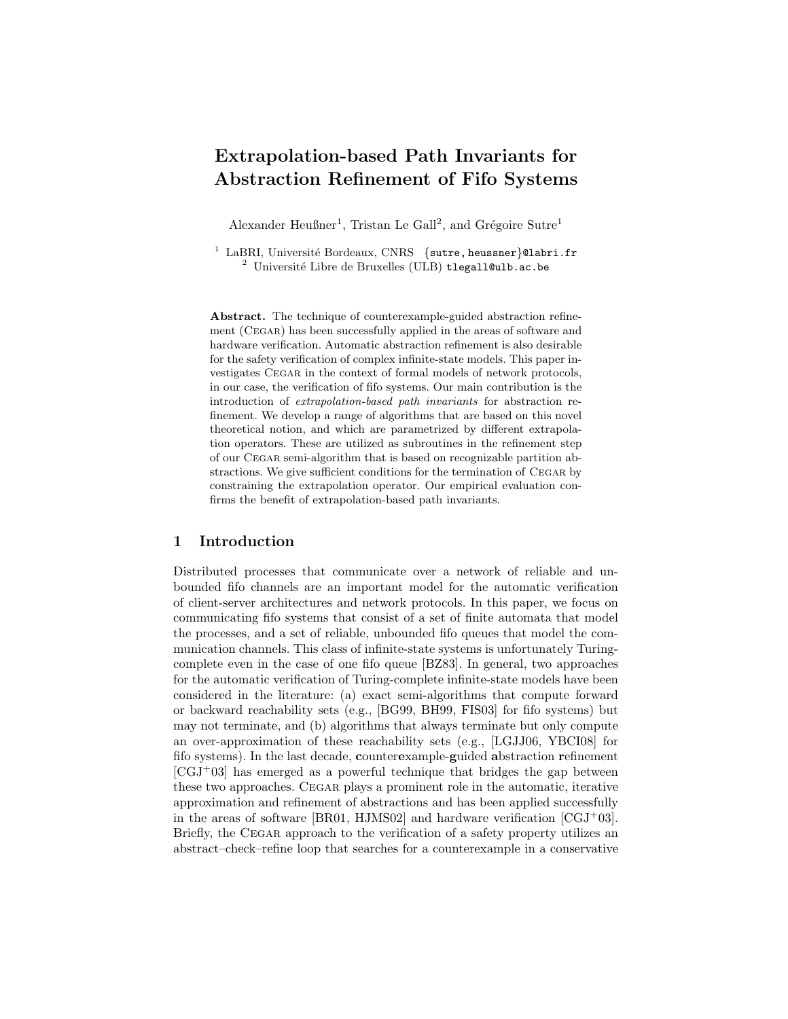# Extrapolation-based Path Invariants for Abstraction Refinement of Fifo Systems

Alexander Heußner<sup>1</sup>, Tristan Le Gall<sup>2</sup>, and Grégoire Sutre<sup>1</sup>

 $^1$  LaBRI, Université Bordeaux, CNRS  $\,$  {sutre, heussner}@labri.fr  $2$  Université Libre de Bruxelles (ULB) tlegall@ulb.ac.be

Abstract. The technique of counterexample-guided abstraction refinement (Cegar) has been successfully applied in the areas of software and hardware verification. Automatic abstraction refinement is also desirable for the safety verification of complex infinite-state models. This paper investigates Cegar in the context of formal models of network protocols, in our case, the verification of fifo systems. Our main contribution is the introduction of extrapolation-based path invariants for abstraction refinement. We develop a range of algorithms that are based on this novel theoretical notion, and which are parametrized by different extrapolation operators. These are utilized as subroutines in the refinement step of our Cegar semi-algorithm that is based on recognizable partition abstractions. We give sufficient conditions for the termination of Cegar by constraining the extrapolation operator. Our empirical evaluation confirms the benefit of extrapolation-based path invariants.

## 1 Introduction

Distributed processes that communicate over a network of reliable and unbounded fifo channels are an important model for the automatic verification of client-server architectures and network protocols. In this paper, we focus on communicating fifo systems that consist of a set of finite automata that model the processes, and a set of reliable, unbounded fifo queues that model the communication channels. This class of infinite-state systems is unfortunately Turingcomplete even in the case of one fifo queue [\[BZ83\]](#page-13-0). In general, two approaches for the automatic verification of Turing-complete infinite-state models have been considered in the literature: (a) exact semi-algorithms that compute forward or backward reachability sets (e.g., [\[BG99,](#page-13-1) [BH99,](#page-13-2) [FIS03\]](#page-13-3) for fifo systems) but may not terminate, and (b) algorithms that always terminate but only compute an over-approximation of these reachability sets (e.g., [\[LGJJ06,](#page-14-0) [YBCI08\]](#page-14-1) for fifo systems). In the last decade, counterexample-guided abstraction refinement  $[CGJ+03]$  $[CGJ+03]$  has emerged as a powerful technique that bridges the gap between these two approaches. Cegar plays a prominent role in the automatic, iterative approximation and refinement of abstractions and has been applied successfully in the areas of software [\[BR01,](#page-13-5) [HJMS02\]](#page-13-6) and hardware verification  $[CGJ^+03]$  $[CGJ^+03]$ . Briefly, the CEGAR approach to the verification of a safety property utilizes an abstract–check–refine loop that searches for a counterexample in a conservative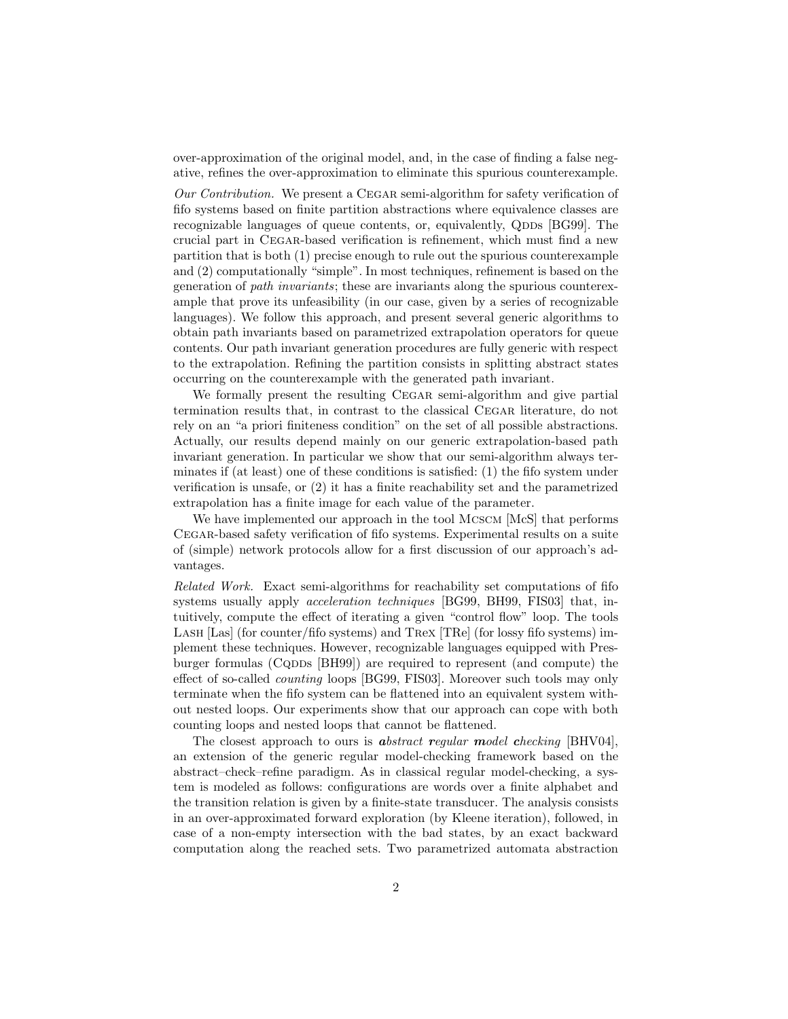over-approximation of the original model, and, in the case of finding a false negative, refines the over-approximation to eliminate this spurious counterexample.

Our Contribution. We present a Cegar semi-algorithm for safety verification of fifo systems based on finite partition abstractions where equivalence classes are recognizable languages of queue contents, or, equivalently, QDDs [\[BG99\]](#page-13-1). The crucial part in Cegar-based verification is refinement, which must find a new partition that is both (1) precise enough to rule out the spurious counterexample and (2) computationally "simple". In most techniques, refinement is based on the generation of path invariants; these are invariants along the spurious counterexample that prove its unfeasibility (in our case, given by a series of recognizable languages). We follow this approach, and present several generic algorithms to obtain path invariants based on parametrized extrapolation operators for queue contents. Our path invariant generation procedures are fully generic with respect to the extrapolation. Refining the partition consists in splitting abstract states occurring on the counterexample with the generated path invariant.

We formally present the resulting CEGAR semi-algorithm and give partial termination results that, in contrast to the classical Cegar literature, do not rely on an "a priori finiteness condition" on the set of all possible abstractions. Actually, our results depend mainly on our generic extrapolation-based path invariant generation. In particular we show that our semi-algorithm always terminates if (at least) one of these conditions is satisfied: (1) the fifo system under verification is unsafe, or (2) it has a finite reachability set and the parametrized extrapolation has a finite image for each value of the parameter.

We have implemented our approach in the tool MCSCM [\[McS\]](#page-14-2) that performs Cegar-based safety verification of fifo systems. Experimental results on a suite of (simple) network protocols allow for a first discussion of our approach's advantages.

Related Work. Exact semi-algorithms for reachability set computations of fifo systems usually apply *acceleration techniques* [\[BG99,](#page-13-1) [BH99,](#page-13-2) [FIS03\]](#page-13-3) that, intuitively, compute the effect of iterating a given "control flow" loop. The tools Lash [\[Las\]](#page-13-7) (for counter/fifo systems) and Trex [\[TRe\]](#page-14-3) (for lossy fifo systems) implement these techniques. However, recognizable languages equipped with Pres-burger formulas (CQDDs [\[BH99\]](#page-13-2)) are required to represent (and compute) the effect of so-called counting loops [\[BG99,](#page-13-1) [FIS03\]](#page-13-3). Moreover such tools may only terminate when the fifo system can be flattened into an equivalent system without nested loops. Our experiments show that our approach can cope with both counting loops and nested loops that cannot be flattened.

The closest approach to ours is **a**bstract regular model checking [\[BHV04\]](#page-13-8), an extension of the generic regular model-checking framework based on the abstract–check–refine paradigm. As in classical regular model-checking, a system is modeled as follows: configurations are words over a finite alphabet and the transition relation is given by a finite-state transducer. The analysis consists in an over-approximated forward exploration (by Kleene iteration), followed, in case of a non-empty intersection with the bad states, by an exact backward computation along the reached sets. Two parametrized automata abstraction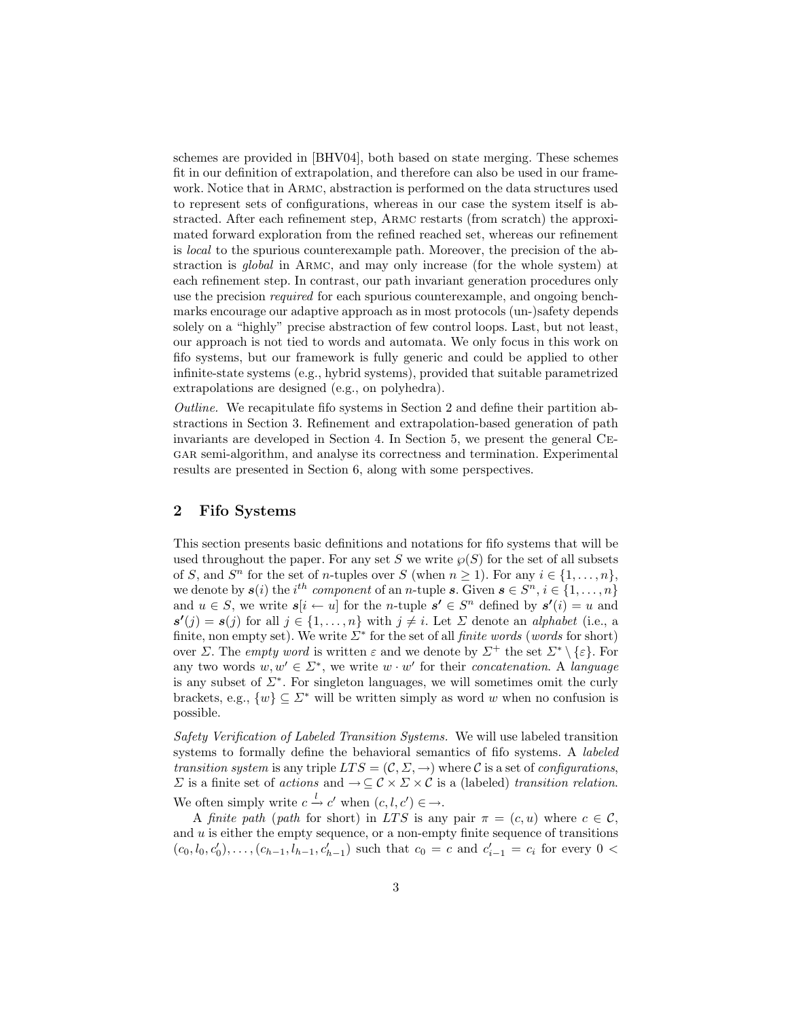schemes are provided in [\[BHV04\]](#page-13-8), both based on state merging. These schemes fit in our definition of extrapolation, and therefore can also be used in our framework. Notice that in Armc, abstraction is performed on the data structures used to represent sets of configurations, whereas in our case the system itself is abstracted. After each refinement step, Armc restarts (from scratch) the approximated forward exploration from the refined reached set, whereas our refinement is local to the spurious counterexample path. Moreover, the precision of the abstraction is global in Armc, and may only increase (for the whole system) at each refinement step. In contrast, our path invariant generation procedures only use the precision required for each spurious counterexample, and ongoing benchmarks encourage our adaptive approach as in most protocols (un-)safety depends solely on a "highly" precise abstraction of few control loops. Last, but not least, our approach is not tied to words and automata. We only focus in this work on fifo systems, but our framework is fully generic and could be applied to other infinite-state systems (e.g., hybrid systems), provided that suitable parametrized extrapolations are designed (e.g., on polyhedra).

Outline. We recapitulate fifo systems in Section [2](#page-2-0) and define their partition abstractions in Section [3.](#page-4-0) Refinement and extrapolation-based generation of path invariants are developed in Section [4.](#page-6-0) In Section [5,](#page-9-0) we present the general Cegar semi-algorithm, and analyse its correctness and termination. Experimental results are presented in Section [6,](#page-11-0) along with some perspectives.

## <span id="page-2-0"></span>2 Fifo Systems

This section presents basic definitions and notations for fifo systems that will be used throughout the paper. For any set S we write  $\wp(S)$  for the set of all subsets of S, and  $S<sup>n</sup>$  for the set of *n*-tuples over S (when  $n \ge 1$ ). For any  $i \in \{1, ..., n\}$ , we denote by  $s(i)$  the  $i^{th}$  component of an n-tuple s. Given  $s \in S^n$ ,  $i \in \{1, \ldots, n\}$ and  $u \in S$ , we write  $s[i \leftarrow u]$  for the *n*-tuple  $s' \in S^n$  defined by  $s'(i) = u$  and  $s'(j) = s(j)$  for all  $j \in \{1, ..., n\}$  with  $j \neq i$ . Let  $\Sigma$  denote an *alphabet* (i.e., a finite, non empty set). We write  $\Sigma^*$  for the set of all *finite words* (*words* for short) over Σ. The *empty word* is written  $\varepsilon$  and we denote by  $\Sigma^+$  the set  $\Sigma^* \setminus {\varepsilon}$ . For any two words  $w, w' \in \Sigma^*$ , we write  $w \cdot w'$  for their *concatenation*. A *language* is any subset of  $\Sigma^*$ . For singleton languages, we will sometimes omit the curly brackets, e.g.,  $\{w\} \subseteq \Sigma^*$  will be written simply as word w when no confusion is possible.

Safety Verification of Labeled Transition Systems. We will use labeled transition systems to formally define the behavioral semantics of fifo systems. A *labeled* transition system is any triple  $LTS = (\mathcal{C}, \Sigma, \rightarrow)$  where C is a set of configurations,  $\Sigma$  is a finite set of actions and  $\to \subseteq \mathcal{C} \times \Sigma \times \mathcal{C}$  is a (labeled) transition relation. We often simply write  $c \stackrel{l}{\rightarrow} c'$  when  $(c, l, c') \in \rightarrow$ .

A finite path (path for short) in LTS is any pair  $\pi = (c, u)$  where  $c \in \mathcal{C}$ , and  $u$  is either the empty sequence, or a non-empty finite sequence of transitions  $(c_0, l_0, c'_0), \ldots, (c_{h-1}, l_{h-1}, c'_{h-1})$  such that  $c_0 = c$  and  $c'_{i-1} = c_i$  for every  $0 <$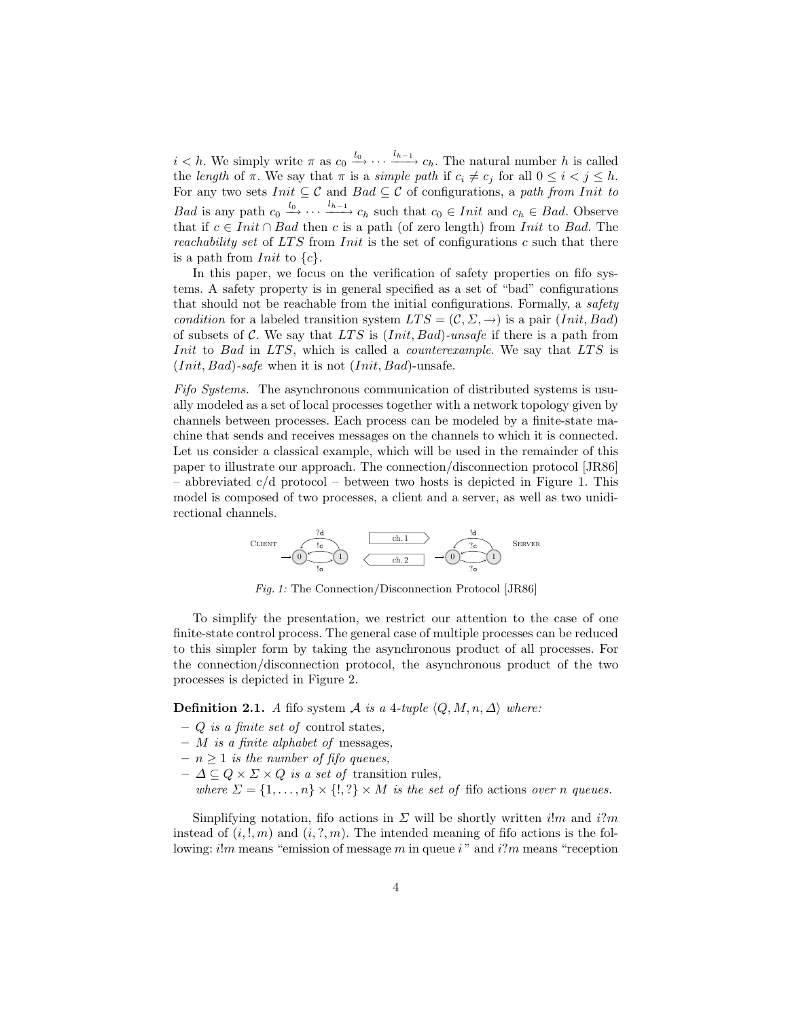$i < h$ . We simply write  $\pi$  as  $c_0 \xrightarrow{l_0} \cdots \xrightarrow{l_{h-1}} c_h$ . The natural number h is called the length of  $\pi$ . We say that  $\pi$  is a simple path if  $c_i \neq c_j$  for all  $0 \leq i < j \leq h$ . For any two sets  $Init \subseteq \mathcal{C}$  and  $Bad \subseteq \mathcal{C}$  of configurations, a path from Init to *Bad* is any path  $c_0 \stackrel{l_0}{\longrightarrow} \cdots \stackrel{l_{h-1}}{\longrightarrow} c_h$  such that  $c_0 \in Init$  and  $c_h \in Bad$ . Observe that if  $c \in Init \cap Bad$  then c is a path (of zero length) from Init to Bad. The reachability set of LTS from  $Init$  is the set of configurations c such that there is a path from *Init* to  $\{c\}$ .

In this paper, we focus on the verification of safety properties on fifo systems. A safety property is in general specified as a set of "bad" configurations that should not be reachable from the initial configurations. Formally, a safety condition for a labeled transition system  $LTS = (\mathcal{C}, \Sigma, \rightarrow)$  is a pair (Init, Bad) of subsets of C. We say that LTS is  $(Init, Bad)$ -unsafe if there is a path from Init to Bad in LTS, which is called a *counterexample*. We say that LTS is  $(Init, Bad)$ -safe when it is not  $(Init, Bad)$ -unsafe.

Fifo Systems. The asynchronous communication of distributed systems is usually modeled as a set of local processes together with a network topology given by channels between processes. Each process can be modeled by a finite-state machine that sends and receives messages on the channels to which it is connected. Let us consider a classical example, which will be used in the remainder of this paper to illustrate our approach. The connection/disconnection protocol [\[JR86\]](#page-13-9) – abbreviated  $c/d$  protocol – between two hosts is depicted in Figure [1.](#page-3-0) This model is composed of two processes, a client and a server, as well as two unidirectional channels.

$$
\text{CHAPTERT}\begin{picture}(100,10) \put(0,0){\line(1,0){10}} \put(10,0){\line(1,0){10}} \put(10,0){\line(1,0){10}} \put(10,0){\line(1,0){10}} \put(10,0){\line(1,0){10}} \put(10,0){\line(1,0){10}} \put(10,0){\line(1,0){10}} \put(10,0){\line(1,0){10}} \put(10,0){\line(1,0){10}} \put(10,0){\line(1,0){10}} \put(10,0){\line(1,0){10}} \put(10,0){\line(1,0){10}} \put(10,0){\line(1,0){10}} \put(10,0){\line(1,0){10}} \put(10,0){\line(1,0){10}} \put(10,0){\line(1,0){10}} \put(10,0){\line(1,0){10}} \put(10,0){\line(1,0){10}} \put(10,0){\line(1,0){10}} \put(10,0){\line(1,0){10}} \put(10,0){\line(1,0){10}} \put(10,0){\line(1,0){10}} \put(10,0){\line(1,0){10}} \put(10,0){\line(1,0){10}} \put(10,0){\line(1,0){10}} \put(10,0){\line(1,0){10}} \put(10,0){\line(1,0){10}} \put(10,0){\line(1,0){10}} \put(10,0){\line(1,0){10}} \put(10,0){\line(1,0){10}} \put(10,0){\line(1,0){10}} \put(10,0){\line(1,0){10}} \put(10,0){\line(1,0){10}} \put(10,0){\line(1,0){10}} \put(10,0){\line(1,0){10}} \put(10,0){\line(1,0){10}} \put(10,0){\line(1,0){10}} \put(10,0){\line(1,0){10}} \put(10,0){\line(1,0){10}} \put(10,0){\line(1,0){10}} \put(10,0){\line(1,0){10}} \put(10,
$$

Fig. 1: The Connection/Disconnection Protocol [\[JR86\]](#page-13-9)

<span id="page-3-0"></span>To simplify the presentation, we restrict our attention to the case of one finite-state control process. The general case of multiple processes can be reduced to this simpler form by taking the asynchronous product of all processes. For the connection/disconnection protocol, the asynchronous product of the two processes is depicted in Figure [2.](#page-4-1)

**Definition 2.1.** A fifo system A is a 4-tuple  $\langle Q, M, n, \Delta \rangle$  where:

- $-$  Q is a finite set of control states,
- $M$  is a finite alphabet of messages,
- $n \geq 1$  is the number of fifo queues,
- $\Delta \subseteq Q \times \Sigma \times Q$  is a set of transition rules,
- where  $\Sigma = \{1, \ldots, n\} \times \{!, ?\} \times M$  is the set of fifo actions over n queues.

Simplifying notation, fifo actions in  $\Sigma$  will be shortly written i!m and i?m instead of  $(i,!,m)$  and  $(i,?,m)$ . The intended meaning of fifo actions is the following:  $i!m$  means "emission of message m in queue  $i$ " and  $i?m$  means "reception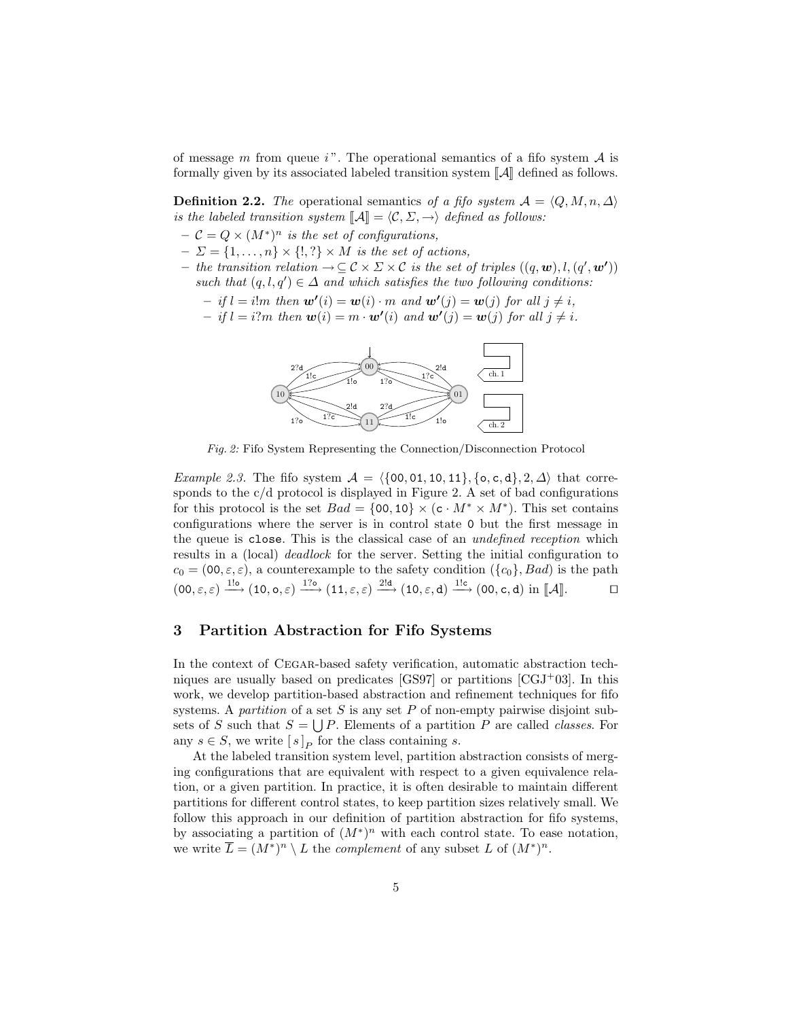of message m from queue i". The operational semantics of a fifo system  $A$  is formally given by its associated labeled transition system  $\|\mathcal{A}\|$  defined as follows.

**Definition 2.2.** The operational semantics of a fifo system  $A = \langle Q, M, n, \Delta \rangle$ is the labeled transition system  $\llbracket \mathcal{A} \rrbracket = \langle \mathcal{C}, \Sigma, \rightarrow \rangle$  defined as follows:

- $C = Q \times (M^*)^n$  is the set of configurations,
- $-\Sigma = \{1, \ldots, n\} \times \{!, ?\} \times M$  is the set of actions,
- *−* the transition relation  $\rightarrow \subseteq \mathcal{C} \times \Sigma \times \mathcal{C}$  is the set of triples  $((q, \mathbf{w}), l, (q', \mathbf{w'}))$ such that  $(q, l, q') \in \Delta$  and which satisfies the two following conditions:
	- $if l = i!m then \mathbf{w'}(i) = \mathbf{w}(i) \cdot m \text{ and } \mathbf{w'}(j) = \mathbf{w}(j) \text{ for all } j \neq i,$
	- $if l = i?m then w(i) = m \cdot w'(i) and w'(j) = w(j) for all j \neq i.$

<span id="page-4-1"></span>

Fig. 2: Fifo System Representing the Connection/Disconnection Protocol

Example 2.3. The fifo system  $A = \{\{00, 01, 10, 11\}, \{o, c, d\}, 2, \Delta\}$  that corre-sponds to the c/d protocol is displayed in Figure [2.](#page-4-1) A set of bad configurations for this protocol is the set  $Bad = \{00, 10\} \times (c \cdot M^* \times M^*)$ . This set contains configurations where the server is in control state 0 but the first message in the queue is close. This is the classical case of an undefined reception which results in a (local) *deadlock* for the server. Setting the initial configuration to  $c_0 = (00, \varepsilon, \varepsilon)$ , a counterexample to the safety condition  $({c_0}, Bad)$  is the path  $(00, \varepsilon, \varepsilon) \xrightarrow{116} (10, o, \varepsilon) \xrightarrow{176} (11, \varepsilon, \varepsilon) \xrightarrow{21d} (10, \varepsilon, d) \xrightarrow{11c} (00, c, d) \text{ in } [\mathcal{A}].$ 

## <span id="page-4-0"></span>3 Partition Abstraction for Fifo Systems

In the context of CEGAR-based safety verification, automatic abstraction techniques are usually based on predicates  $[GS97]$  or partitions  $[GJ^+03]$ . In this work, we develop partition-based abstraction and refinement techniques for fifo systems. A partition of a set S is any set P of non-empty pairwise disjoint subsets of S such that  $S = \bigcup P$ . Elements of a partition P are called *classes*. For any  $s \in S$ , we write  $[s]_P$  for the class containing s.

At the labeled transition system level, partition abstraction consists of merging configurations that are equivalent with respect to a given equivalence relation, or a given partition. In practice, it is often desirable to maintain different partitions for different control states, to keep partition sizes relatively small. We follow this approach in our definition of partition abstraction for fifo systems, by associating a partition of  $(M^*)^n$  with each control state. To ease notation, we write  $\overline{L} = (M^*)^n \setminus L$  the *complement* of any subset L of  $(M^*)^n$ .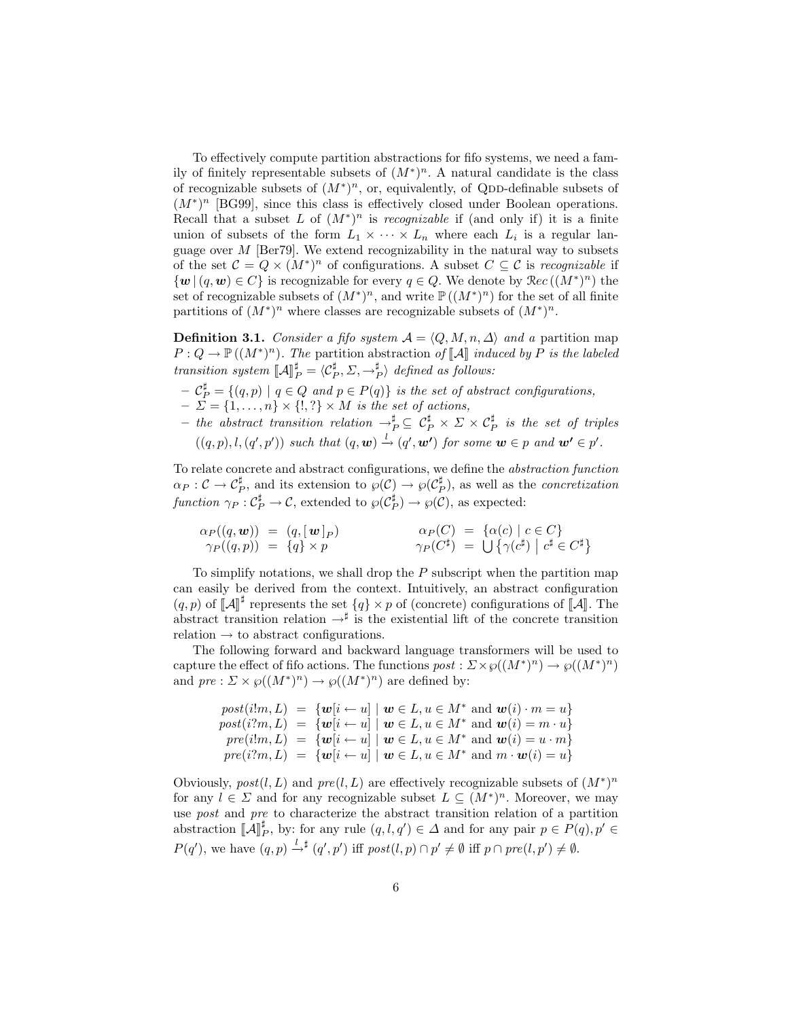To effectively compute partition abstractions for fifo systems, we need a family of finitely representable subsets of  $(M^*)^n$ . A natural candidate is the class of recognizable subsets of  $(M^*)^n$ , or, equivalently, of QDD-definable subsets of (M<sup>\*</sup>)<sup>n</sup> [\[BG99\]](#page-13-1), since this class is effectively closed under Boolean operations. Recall that a subset L of  $(M^*)^n$  is *recognizable* if (and only if) it is a finite union of subsets of the form  $L_1 \times \cdots \times L_n$  where each  $L_i$  is a regular language over  $M$  [\[Ber79\]](#page-13-11). We extend recognizability in the natural way to subsets of the set  $\mathcal{C} = Q \times (M^*)^n$  of configurations. A subset  $C \subseteq \mathcal{C}$  is recognizable if  $\{w \mid (q, w) \in C\}$  is recognizable for every  $q \in Q$ . We denote by  $\Re ec((M^*)^n)$  the set of recognizable subsets of  $(M^*)^n$ , and write  $\mathbb{P}((M^*)^n)$  for the set of all finite partitions of  $(M^*)^n$  where classes are recognizable subsets of  $(M^*)^n$ .

**Definition 3.1.** Consider a fifo system  $A = \langle Q, M, n, \Delta \rangle$  and a partition map  $P: Q \to \mathbb{P}((M^*)^n)$ . The partition abstraction of  $[\![A]\!]$  induced by P is the labeled transition system  $\llbracket \mathcal{A} \rrbracket_P^{\sharp} = \langle \mathcal{C}_P^{\sharp}, \Sigma, \rightarrow_P^{\sharp} \rangle$  defined as follows:

- $-\mathcal{C}_P^{\sharp} = \{(q,p) \mid q \in Q \text{ and } p \in P(q)\}$  is the set of abstract configurations,
- $-\Sigma = \{1, \ldots, n\} \times \{!,\ ?\} \times M$  is the set of actions,
- $-$  the abstract transition relation  $\rightarrow_P^\sharp\ \subseteq\ \mathcal{C}_P^\sharp\ \times\ \Sigma\ \times\ \mathcal{C}_P^\sharp\$  is the set of triples  $((q,p),l,(q',p'))$  such that  $(q,\mathbf{w}) \stackrel{l}{\rightarrow} (q',\mathbf{w'})$  for some  $\mathbf{w} \in p$  and  $\mathbf{w'} \in p'$ .

To relate concrete and abstract configurations, we define the abstraction function  $\alpha_P : C \to C_P^{\sharp}$ , and its extension to  $\wp(C) \to \wp(C_P^{\sharp})$ , as well as the *concretization* function  $\gamma_P : C_P^{\sharp} \to C$ , extended to  $\wp(C_P^{\sharp}) \to \wp(C)$ , as expected:

$$
\alpha_P((q, \mathbf{w})) = (q, [\mathbf{w}]_P) \qquad \alpha_P(C) = \{ \alpha(c) \mid c \in C \} \n\gamma_P((q, p)) = \{ q \} \times p \qquad \gamma_P(C^{\sharp}) = \bigcup \{ \gamma(c^{\sharp}) \mid c^{\sharp} \in C^{\sharp} \}.
$$

To simplify notations, we shall drop the  $P$  subscript when the partition map can easily be derived from the context. Intuitively, an abstract configuration  $(q, p)$  of  $\llbracket A \rrbracket^{\sharp}$  represents the set  $\{q\} \times p$  of (concrete) configurations of  $\llbracket A \rrbracket$ . The abstract transition relation  $\rightarrow^{\sharp}$  is the existential lift of the concrete transition relation  $\rightarrow$  to abstract configurations.

The following forward and backward language transformers will be used to capture the effect of fifo actions. The functions  $post : \Sigma \times \wp((M^*)^n) \to \wp((M^*)^n)$ and  $pre: \Sigma \times \wp((M^*)^n) \to \wp((M^*)^n)$  are defined by:

$$
post(i!m, L) = \{w[i \leftarrow u] \mid w \in L, u \in M^* \text{ and } w(i) \cdot m = u\}
$$
  

$$
post(i?m, L) = \{w[i \leftarrow u] \mid w \in L, u \in M^* \text{ and } w(i) = m \cdot u\}
$$
  

$$
pre(i!m, L) = \{w[i \leftarrow u] \mid w \in L, u \in M^* \text{ and } w(i) = u \cdot m\}
$$
  

$$
pre(i?m, L) = \{w[i \leftarrow u] \mid w \in L, u \in M^* \text{ and } m \cdot w(i) = u\}
$$

<span id="page-5-0"></span>Obviously,  $post(l, L)$  and  $pre(l, L)$  are effectively recognizable subsets of  $(M^*)^n$ for any  $l \in \Sigma$  and for any recognizable subset  $L \subseteq (M^*)^n$ . Moreover, we may use post and pre to characterize the abstract transition relation of a partition abstraction  $\llbracket \mathcal{A} \rrbracket_P^{\sharp}$ , by: for any rule  $(q, l, q') \in \Delta$  and for any pair  $p \in P(q)$ ,  $p' \in \Delta$  $P(q')$ , we have  $(q, p) \stackrel{l}{\rightarrow}^{\sharp} (q', p')$  iff  $post(l, p) \cap p' \neq \emptyset$  iff  $p \cap pre(l, p') \neq \emptyset$ .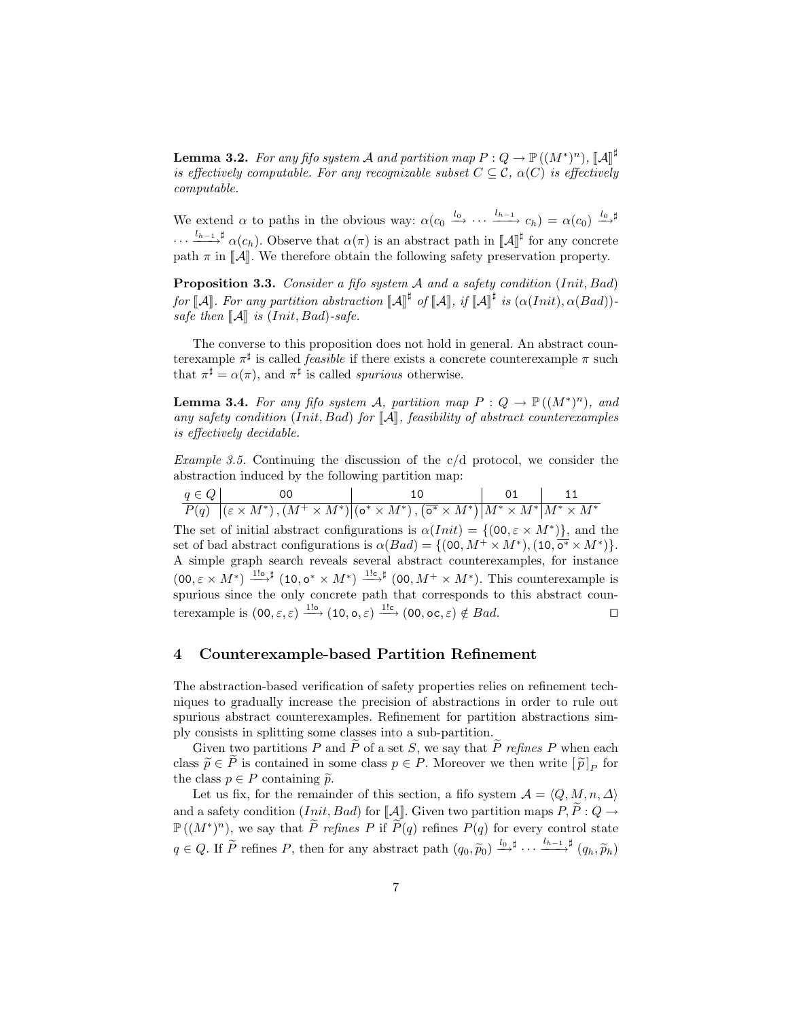**Lemma 3.2.** For any fifo system A and partition map  $P: Q \to \mathbb{P}((M^*)^n)$ ,  $[\![A]\!]^{\sharp}$ is effectively computable. For any recognizable subset  $C \subseteq \mathcal{C}$ ,  $\alpha(C)$  is effectively computable.

We extend  $\alpha$  to paths in the obvious way:  $\alpha(c_0 \stackrel{l_0}{\longrightarrow} \cdots \stackrel{l_{h-1}}{\longrightarrow} c_h) = \alpha(c_0) \stackrel{l_0}{\longrightarrow}$  $\cdots \xrightarrow{l_{h-1} \sharp} \alpha(c_h)$ . Observe that  $\alpha(\pi)$  is an abstract path in  $[\![A]\!]^{\sharp}$  for any concrete path  $\pi$  in  $\mathcal{A}$ . We therefore obtain the following safety preservation property.

<span id="page-6-3"></span>Proposition 3.3. Consider a fifo system A and a safety condition (Init, Bad) for  $\llbracket \mathcal{A} \rrbracket$ . For any partition abstraction  $\llbracket \mathcal{A} \rrbracket^{\sharp}$  of  $\llbracket \mathcal{A} \rrbracket$ , if  $\llbracket \mathcal{A} \rrbracket^{\sharp}$  is  $(\alpha(Init), \alpha(Bad))$ -<br>eate than  $\llbracket A \rrbracket$  is  $(Init, \text{Red})$ safe then  $\llbracket \mathcal{A} \rrbracket$  is (Init, Bad)-safe.

The converse to this proposition does not hold in general. An abstract counterexample  $\pi^{\sharp}$  is called *feasible* if there exists a concrete counterexample  $\pi$  such that  $\pi^{\sharp} = \alpha(\pi)$ , and  $\pi^{\sharp}$  is called *spurious* otherwise.

<span id="page-6-2"></span>**Lemma 3.4.** For any fifo system A, partition map  $P: Q \to \mathbb{P}((M^*)^n)$ , and any safety condition (Init, Bad) for  $\llbracket \mathcal{A} \rrbracket$ , feasibility of abstract counterexamples is effectively decidable.

<span id="page-6-1"></span>Example 3.5. Continuing the discussion of the  $c/d$  protocol, we consider the abstraction induced by the following partition map:

| $q \in Q$ |                                                                                                                                                                                   | $\begin{array}{ c c c c c c c c } \hline \quad \text{01} & \quad \text{11} \end{array}$ |  |  |
|-----------|-----------------------------------------------------------------------------------------------------------------------------------------------------------------------------------|-----------------------------------------------------------------------------------------|--|--|
|           | $\overline{P(q) \mid (\varepsilon \times M^*)}, (M^+ \times M^*) \mid (\mathbf{o}^* \times M^*)$ , $\overline{(\mathbf{o}^* \times M^*)} \mid M^* \times M^* \mid M^* \times M^*$ |                                                                                         |  |  |

The set of initial abstract configurations is  $\alpha(Init) = \{ (00, \varepsilon \times M^*) \},$  and the set of bad abstract configurations is  $\alpha(Bad) = \{ (00, M^+ \times M^*), (10, \overline{o^*} \times M^*) \}.$ A simple graph search reveals several abstract counterexamples, for instance  $(0, \varepsilon \times M^*) \stackrel{1! \sigma}{\longrightarrow}^{\sharp} (10, \sigma^* \times M^*) \stackrel{1! \sigma}{\longrightarrow}^{\sharp} (00, M^+ \times M^*)$ . This counterexample is spurious since the only concrete path that corresponds to this abstract counterexample is  $(00, \varepsilon, \varepsilon) \xrightarrow{1!o} (10, o, \varepsilon) \xrightarrow{1!c} (00, oc, \varepsilon) \notin Bad.$ 

## <span id="page-6-0"></span>4 Counterexample-based Partition Refinement

The abstraction-based verification of safety properties relies on refinement techniques to gradually increase the precision of abstractions in order to rule out spurious abstract counterexamples. Refinement for partition abstractions simply consists in splitting some classes into a sub-partition.

Given two partitions P and  $\tilde{P}$  of a set S, we say that  $\tilde{P}$  refines P when each class  $\widetilde{p} \in P$  is contained in some class  $p \in P$ . Moreover we then write  $[\widetilde{p}]_P$  for the class  $p \in P$  containing  $\widetilde{\phi}$ . the class  $p \in P$  containing  $\tilde{p}$ .

Let us fix, for the remainder of this section, a fifo system  $\mathcal{A} = \langle Q, M, n, \Delta \rangle$ and a safety condition (*Init, Bad*) for  $\llbracket \mathcal{A} \rrbracket$ . Given two partition maps  $P, P : Q \rightarrow$  $\mathbb{P}((M^*)^n)$ , we say that  $\widetilde{P}$  refines P if  $\widetilde{P}(q)$  refines P(q) for every control state  $q \in Q$ . If  $\widetilde{P}$  refines P, then for any abstract path  $(q_0, \widetilde{p}_0) \stackrel{l_0}{\longrightarrow}^{\sharp} \cdots \stackrel{l_{h-1}}{\longrightarrow}^{\sharp} (q_h, \widetilde{p}_h)$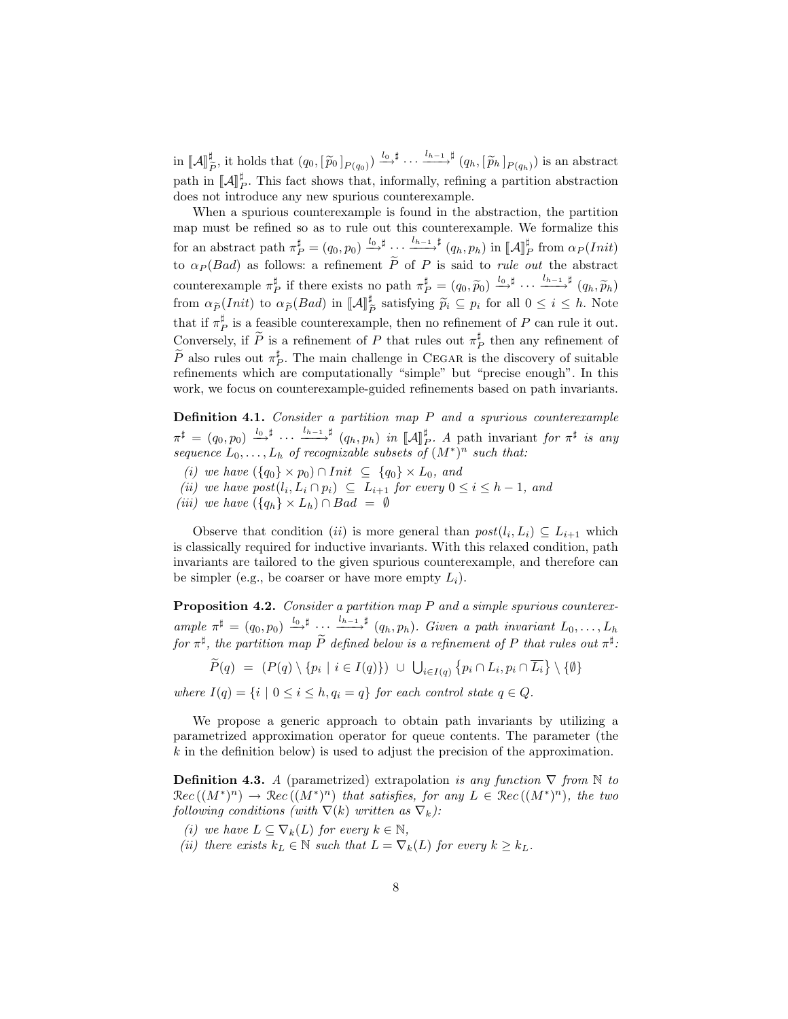$\operatorname{in} \ \llbracket \mathcal{A} \rrbracket^{\sharp}_{\hat{I}}$  $\frac{\sharp}{\tilde{P}}$ , it holds that  $(q_0, [\tilde{p}_0]_{P(q_0)}) \stackrel{l_0}{\longrightarrow} \cdots \stackrel{l_{h-1}}{\longrightarrow} \sharp (q_h, [\tilde{p}_h]_{P(q_h)})$  is an abstract path in  $\llbracket A \rrbracket_F^{\sharp}$ . This fact shows that, informally, refining a partition abstraction does not introduce any new spurious countercypanels. does not introduce any new spurious counterexample.

When a spurious counterexample is found in the abstraction, the partition map must be refined so as to rule out this counterexample. We formalize this for an abstract path  $\pi_P^{\sharp} = (q_0, p_0) \stackrel{l_0, \sharp}{\longrightarrow} \cdots \stackrel{l_{h-1}, \sharp}{\longrightarrow} (q_h, p_h)$  in  $\llbracket \mathcal{A} \rrbracket_P^{\sharp}$  from  $\alpha_P(Init)$ to  $\alpha_P (Bad)$  as follows: a refinement P of P is said to *rule out* the abstract counterexample  $\pi_P^{\sharp}$  if there exists no path  $\pi_P^{\sharp} = (q_0, \widetilde{p}_0) \xrightarrow{l_0, \sharp} \cdots \xrightarrow{l_{h-1}, \sharp} (q_h, \widetilde{p}_h)$ from  $\alpha_{\widetilde{P}}(Init)$  to  $\alpha_{\widetilde{P}}(Bad)$  in  $[\![\mathcal{A}]\!]^{\sharp}$ <sup>n</sup> satisfying  $\widetilde{p}_i \subseteq p_i$  for all  $0 \leq i \leq h$ . Note that if  $\pi_P^{\sharp}$  is a feasible counterexample, then no refinement of P can rule it out. Conversely, if  $\widetilde{P}$  is a refinement of P that rules out  $\pi_P^{\sharp}$  then any refinement of  $\widetilde{P}$  also rules out  $\pi_P^{\sharp}$ . The main challenge in CEGAR is the discovery of suitable refinements which are computationally "simple" but "precise enough". In this work, we focus on counterexample-guided refinements based on path invariants.

**Definition 4.1.** Consider a partition map  $P$  and a spurious counterexample  $\pi^{\sharp} = (q_0, p_0) \stackrel{l_0, \sharp}{\longrightarrow} \cdots \stackrel{l_{h-1}, \sharp}{\longrightarrow} (q_h, p_h)$  in  $[\![A]\!]_P^{\sharp}$ . A path invariant for  $\pi^{\sharp}$  is any sequence  $L_0, \ldots, L_h$  of recognizable subsets of  $(M^*)^n$  such that:

- <span id="page-7-2"></span>(i) we have  $({q_0} \times p_0) \cap Init \subseteq {q_0} \times L_0$ , and
- <span id="page-7-4"></span>(ii) we have  $post(l_i, L_i \cap p_i) \subseteq L_{i+1}$  for every  $0 \leq i \leq h-1$ , and
- <span id="page-7-3"></span>(iii) we have  $({q_h} \times L_h) \cap Bad = \emptyset$

Observe that condition (ii) is more general than  $post(l_i, L_i) \subseteq L_{i+1}$  which is classically required for inductive invariants. With this relaxed condition, path invariants are tailored to the given spurious counterexample, and therefore can be simpler (e.g., be coarser or have more empty  $L_i$ ).

<span id="page-7-1"></span>Proposition 4.2. Consider a partition map P and a simple spurious counterexample  $\pi^{\sharp} = (q_0, p_0) \stackrel{l_0, \sharp}{\longrightarrow} \cdots \stackrel{l_{h-1}, \sharp}{\longrightarrow} (q_h, p_h)$ . Given a path invariant  $L_0, \ldots, L_h$ for  $\pi^{\sharp}$ , the partition map  $\tilde{P}$  defined below is a refinement of P that rules out  $\pi^{\sharp}$ :

$$
\tilde{P}(q) = (P(q) \setminus \{p_i \mid i \in I(q)\}) \cup \bigcup_{i \in I(q)} \{p_i \cap L_i, p_i \cap \overline{L_i}\} \setminus \{\emptyset\}
$$

where  $I(q) = \{i \mid 0 \leq i \leq h, q_i = q\}$  for each control state  $q \in Q$ .

We propose a generic approach to obtain path invariants by utilizing a parametrized approximation operator for queue contents. The parameter (the  $k$  in the definition below) is used to adjust the precision of the approximation.

**Definition 4.3.** A (parametrized) extrapolation is any function  $\nabla$  from  $\mathbb N$  to  $\mathcal{R}ec((M^*)^n) \to \mathcal{R}ec((M^*)^n)$  that satisfies, for any  $L \in \mathcal{R}ec((M^*)^n)$ , the two following conditions (with  $\nabla(k)$  written as  $\nabla_k$ ):

- (i) we have  $L \subseteq \nabla_k(L)$  for every  $k \in \mathbb{N}$ ,
- <span id="page-7-0"></span>(ii) there exists  $k_L \in \mathbb{N}$  such that  $L = \nabla_k(L)$  for every  $k \geq k_L$ .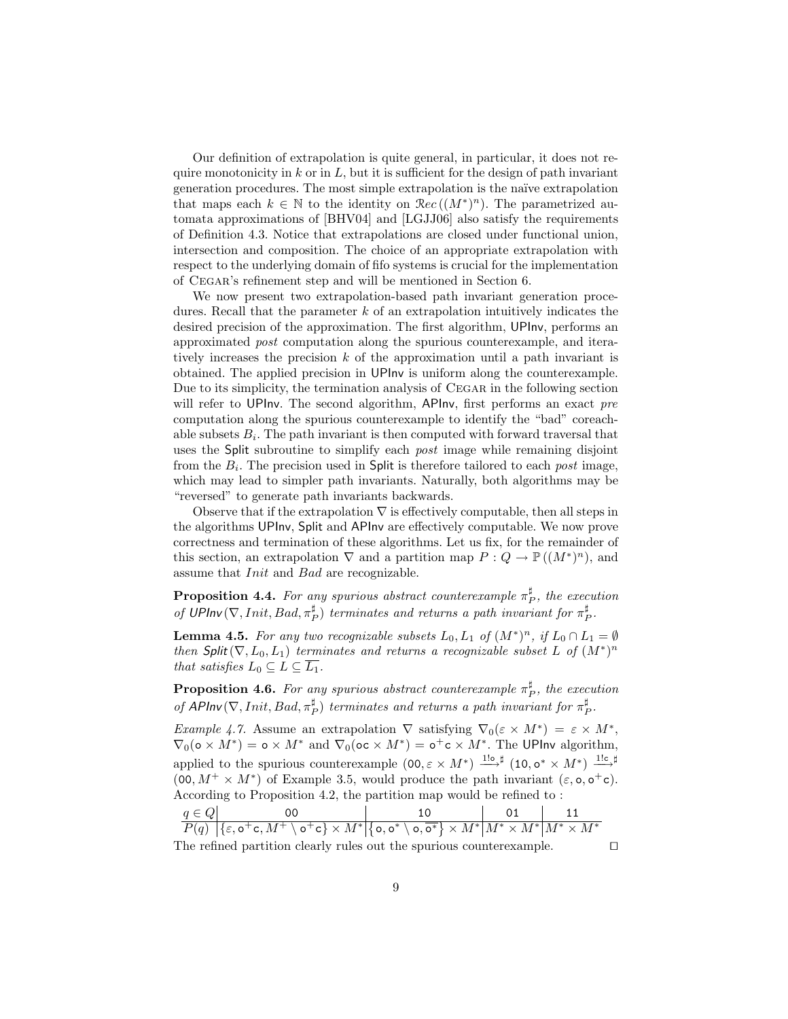Our definition of extrapolation is quite general, in particular, it does not require monotonicity in  $k$  or in  $L$ , but it is sufficient for the design of path invariant generation procedures. The most simple extrapolation is the na¨ıve extrapolation that maps each  $k \in \mathbb{N}$  to the identity on  $\Re ec((M^*)^n)$ . The parametrized automata approximations of [\[BHV04\]](#page-13-8) and [\[LGJJ06\]](#page-14-0) also satisfy the requirements of Definition [4.3.](#page-7-0) Notice that extrapolations are closed under functional union, intersection and composition. The choice of an appropriate extrapolation with respect to the underlying domain of fifo systems is crucial for the implementation of Cegar's refinement step and will be mentioned in Section [6.](#page-11-0)

We now present two extrapolation-based path invariant generation procedures. Recall that the parameter  $k$  of an extrapolation intuitively indicates the desired precision of the approximation. The first algorithm, UPInv, performs an approximated post computation along the spurious counterexample, and iteratively increases the precision  $k$  of the approximation until a path invariant is obtained. The applied precision in UPInv is uniform along the counterexample. Due to its simplicity, the termination analysis of CEGAR in the following section will refer to UPInv. The second algorithm, APInv, first performs an exact pre computation along the spurious counterexample to identify the "bad" coreachable subsets  $B_i$ . The path invariant is then computed with forward traversal that uses the Split subroutine to simplify each *post* image while remaining disjoint from the  $B_i$ . The precision used in Split is therefore tailored to each *post* image, which may lead to simpler path invariants. Naturally, both algorithms may be "reversed" to generate path invariants backwards.

Observe that if the extrapolation  $\nabla$  is effectively computable, then all steps in the algorithms UPInv, Split and APInv are effectively computable. We now prove correctness and termination of these algorithms. Let us fix, for the remainder of this section, an extrapolation  $\nabla$  and a partition map  $P: Q \to \mathbb{P}((M^*)^n)$ , and assume that *Init* and *Bad* are recognizable.

**Proposition 4.4.** For any spurious abstract counterexample  $\pi_P^{\sharp}$ , the execution of UPInv $(\nabla,Init, Bad, \pi_P^{\sharp})$  terminates and returns a path invariant for  $\pi_P^{\sharp}$ .

<span id="page-8-0"></span>**Lemma 4.5.** For any two recognizable subsets  $L_0, L_1$  of  $(M^*)^n$ , if  $L_0 \cap L_1 = \emptyset$ then Split( $\nabla, L_0, L_1$ ) terminates and returns a recognizable subset L of  $(M^*)^n$ that satisfies  $L_0 \subseteq L \subseteq \overline{L_1}$ .

**Proposition 4.6.** For any spurious abstract counterexample  $\pi_P^{\sharp}$ , the execution of APInv $(\nabla,Init, Bad, \pi_P^{\sharp})$  terminates and returns a path invariant for  $\pi_P^{\sharp}$ .

Example 4.7. Assume an extrapolation  $\nabla$  satisfying  $\nabla_0(\varepsilon \times M^*) = \varepsilon \times M^*$ ,  $\nabla_0(\mathsf{o} \times M^*) = \mathsf{o} \times M^*$  and  $\nabla_0(\mathsf{o} \mathsf{c} \times M^*) = \mathsf{o}^+ \mathsf{c} \times M^*$ . The UPInv algorithm, applied to the spurious counterexample  $(0, \varepsilon \times M^*) \stackrel{1! \sigma}{\longrightarrow}^{\sharp} (10, o^* \times M^*) \stackrel{1! \sigma}{\longrightarrow}^{\sharp}$  $(0, 0, M^+ \times M^*)$  of Example [3.5,](#page-6-1) would produce the path invariant  $(\varepsilon, \mathsf{o}, \mathsf{o}^+\mathsf{c})$ . According to Proposition [4.2,](#page-7-1) the partition map would be refined to :

|                                                                      | $q \in Q$ | იი                                                                                                                                                                                                                                                |  |  |  |  |
|----------------------------------------------------------------------|-----------|---------------------------------------------------------------------------------------------------------------------------------------------------------------------------------------------------------------------------------------------------|--|--|--|--|
|                                                                      |           | $P(q) \left[ \{ \varepsilon, \text{o}^+\text{c}, M^+ \setminus \text{o}^+\text{c} \} \times M^* \middle  \{ \text{o}, \text{o}^* \setminus \text{o}, \overline{\text{o}^*} \} \times M^* \middle  M^* \times M^* \middle  M^* \times M^* \right]$ |  |  |  |  |
| The refined partition clearly rules out the spurious counterexample. |           |                                                                                                                                                                                                                                                   |  |  |  |  |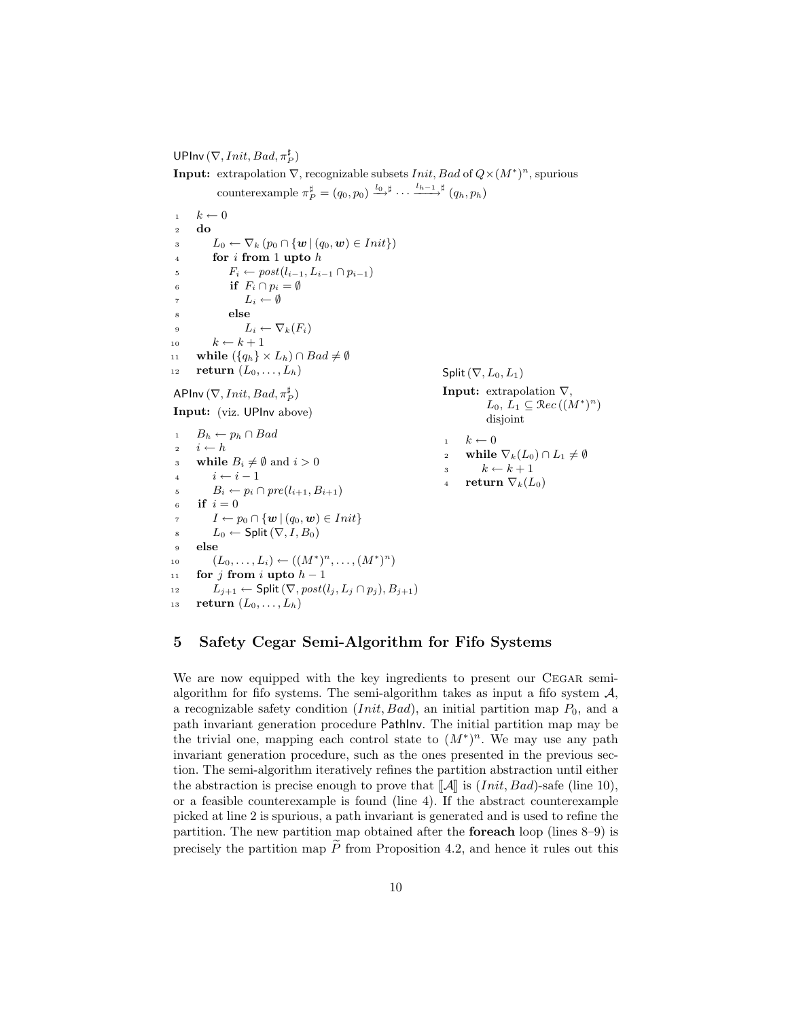UPInv  $(\nabla,Init, Bad, \pi_P^{\sharp})$ 

**Input:** extrapolation  $\nabla$ , recognizable subsets *Init*, *Bad* of  $Q \times (M^*)^n$ , spurious counterexample  $\pi_P^{\sharp} = (q_0, p_0) \xrightarrow{l_0 \sharp} \cdots \xrightarrow{l_{h-1} \sharp} (q_h, p_h)$ 

<span id="page-9-2"></span><span id="page-9-1"></span> $1 \quad k \leftarrow 0$ <sup>2</sup> do  $\mathbf{1}_3$   $L_0 \leftarrow \nabla_k (p_0 \cap \{ \mathbf{w} \mid (q_0, \mathbf{w}) \in Init \})$ <sup>4</sup> for i from 1 upto h 5  $F_i \leftarrow post(l_{i-1}, L_{i-1} \cap p_{i-1})$ 6 if  $F_i \cap p_i = \emptyset$ 7  $L_i \leftarrow \emptyset$ <sup>8</sup> else 9  $L_i \leftarrow \nabla_k(F_i)$ 10  $k \leftarrow k + 1$ 11 while  $({q_h} \times L_h) \cap Bad \neq \emptyset$ 12 return  $(L_0, \ldots, L_h)$ APInv  $(\nabla,Init, Bad, \pi_P^{\sharp})$ Input: (viz. UPInv above)  $B_h \leftarrow p_h \cap Bad$ 2  $i \leftarrow h$ 3 while  $B_i \neq \emptyset$  and  $i > 0$ 4  $i \leftarrow i - 1$ 5  $B_i \leftarrow p_i \cap pre(l_{i+1}, B_{i+1})$ 6 if  $i = 0$ 7  $I \leftarrow p_0 \cap \{w \mid (q_0, w) \in Init\}$ s  $L_0$  ← Split  $(\nabla, I, B_0)$ <sup>9</sup> else 10  $(L_0, \ldots, L_i) \leftarrow ((M^*)^n, \ldots, (M^*)^n)$ 11 for j from i upto  $h-1$ 12  $L_{i+1}$  ← Split  $(\nabla, post(l_i, L_i \cap p_i), B_{i+1})$ 13 return  $(L_0, \ldots, L_h)$ Split  $(\nabla, L_0, L_1)$ **Input:** extrapolation  $\nabla$ ,  $L_0, L_1 \subseteq \mathcal{R}ec((M^*)^n)$ disjoint  $k \leftarrow 0$ 2 while  $\nabla_k(L_0) \cap L_1 \neq \emptyset$ 3  $k \leftarrow k + 1$ 4 return  $\nabla_k(L_0)$ 

## <span id="page-9-6"></span><span id="page-9-5"></span><span id="page-9-4"></span><span id="page-9-3"></span><span id="page-9-0"></span>5 Safety Cegar Semi-Algorithm for Fifo Systems

We are now equipped with the key ingredients to present our CEGAR semialgorithm for fifo systems. The semi-algorithm takes as input a fifo system  $A$ , a recognizable safety condition  $(Init, Bad)$ , an initial partition map  $P_0$ , and a path invariant generation procedure PathInv. The initial partition map may be the trivial one, mapping each control state to  $(M^*)^n$ . We may use any path invariant generation procedure, such as the ones presented in the previous section. The semi-algorithm iteratively refines the partition abstraction until either the abstraction is precise enough to prove that  $\llbracket \mathcal{A} \rrbracket$  is  $(Init, Bad)$ -safe (line [10\)](#page-10-0), or a feasible counterexample is found (line [4\)](#page-10-1). If the abstract counterexample picked at line [2](#page-10-2) is spurious, a path invariant is generated and is used to refine the partition. The new partition map obtained after the foreach loop (lines [8–](#page-10-3)[9\)](#page-10-4) is precisely the partition map  $\widetilde{P}$  from Proposition [4.2,](#page-7-1) and hence it rules out this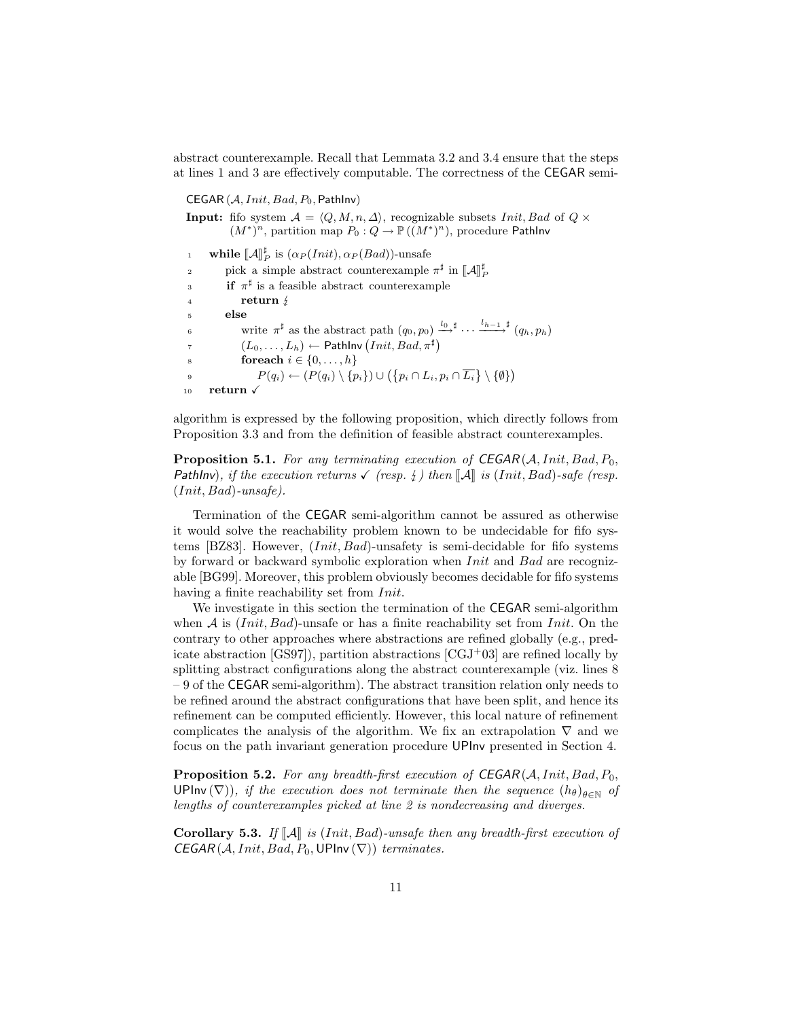abstract counterexample. Recall that Lemmata [3.2](#page-5-0) and [3.4](#page-6-2) ensure that the steps at lines [1](#page-10-5) and [3](#page-10-6) are effectively computable. The correctness of the CEGAR semi-

<span id="page-10-6"></span><span id="page-10-5"></span><span id="page-10-2"></span><span id="page-10-1"></span>CEGAR  $(A,Init, Bad, P_0, PathInv)$ **Input:** fifo system  $A = \langle Q, M, n, \Delta \rangle$ , recognizable subsets *Init*, Bad of  $Q \times$  $(M^*)^n$ , partition map  $P_0: Q \to \mathbb{P}((M^*)^n)$ , procedure Pathlnv 1 while  $\llbracket \mathcal{A} \rrbracket_P^{\sharp}$  is  $(\alpha_P (Init), \alpha_P (Bad))$ -unsafe 2 pick a simple abstract counterexample  $\pi^{\sharp}$  in  $[\![A]\!]_P^{\sharp}$ 3 if  $\pi^{\sharp}$  is a feasible abstract counterexample <sup>4</sup> return  $\frac{1}{2}$ <br>s else else 6 write  $\pi^{\sharp}$  as the abstract path  $(q_0, p_0) \xrightarrow{l_0, \sharp} \cdots \xrightarrow{l_{h-1}, \sharp} (q_h, p_h)$  $\tau \hspace{1.5cm} (L_0, \ldots, L_h) \leftarrow \mathsf{PathInv}\left(\textit{Init}, \textit{Bad}, \pi^\sharp\right)$ 8 **for each**  $i \in \{0, \ldots, h\}$ 9  $P(q_i) \leftarrow (P(q_i) \setminus \{p_i\}) \cup (\{p_i \cap L_i, p_i \cap \overline{L_i}\} \setminus \{\emptyset\})$ 10 return  $\sqrt{ }$ 

<span id="page-10-9"></span><span id="page-10-7"></span><span id="page-10-4"></span><span id="page-10-3"></span><span id="page-10-0"></span>algorithm is expressed by the following proposition, which directly follows from Proposition [3.3](#page-6-3) and from the definition of feasible abstract counterexamples.

**Proposition 5.1.** For any terminating execution of  $CEGAR(A,Init, Bad, P_0,$ PathInv), if the execution returns  $\checkmark$  (resp.  $\sharp$ ) then  $\llbracket \mathcal{A} \rrbracket$  is (Init, Bad)-safe (resp.  $(Init, Bad)$ -unsafe).

Termination of the CEGAR semi-algorithm cannot be assured as otherwise it would solve the reachability problem known to be undecidable for fifo systems [\[BZ83\]](#page-13-0). However, (Init, Bad)-unsafety is semi-decidable for fifo systems by forward or backward symbolic exploration when Init and Bad are recognizable [\[BG99\]](#page-13-1). Moreover, this problem obviously becomes decidable for fifo systems having a finite reachability set from *Init*.

We investigate in this section the termination of the CEGAR semi-algorithm when  $A$  is  $(Init, Bad)$ -unsafe or has a finite reachability set from *Init*. On the contrary to other approaches where abstractions are refined globally (e.g., predicate abstraction  $[GS97]$ , partition abstractions  $[CGJ^+03]$  $[CGJ^+03]$  are refined locally by splitting abstract configurations along the abstract counterexample (viz. lines [8](#page-10-3) – [9](#page-10-4) of the CEGAR semi-algorithm). The abstract transition relation only needs to be refined around the abstract configurations that have been split, and hence its refinement can be computed efficiently. However, this local nature of refinement complicates the analysis of the algorithm. We fix an extrapolation  $\nabla$  and we focus on the path invariant generation procedure UPInv presented in Section [4.](#page-6-0)

<span id="page-10-8"></span>**Proposition 5.2.** For any breadth-first execution of  $CEGAR(A,Init, Bad, P_0,$ UPInv ( $\nabla$ )), if the execution does not terminate then the sequence  $(h_{\theta})_{\theta \in \mathbb{N}}$  of lengths of counterexamples picked at line [2](#page-10-2) is nondecreasing and diverges.

Corollary 5.3. If  $\llbracket \mathcal{A} \rrbracket$  is (Init, Bad)-unsafe then any breadth-first execution of  $CEGAR(A,Init, Bad, P_0, UPInv(\nabla))$  terminates.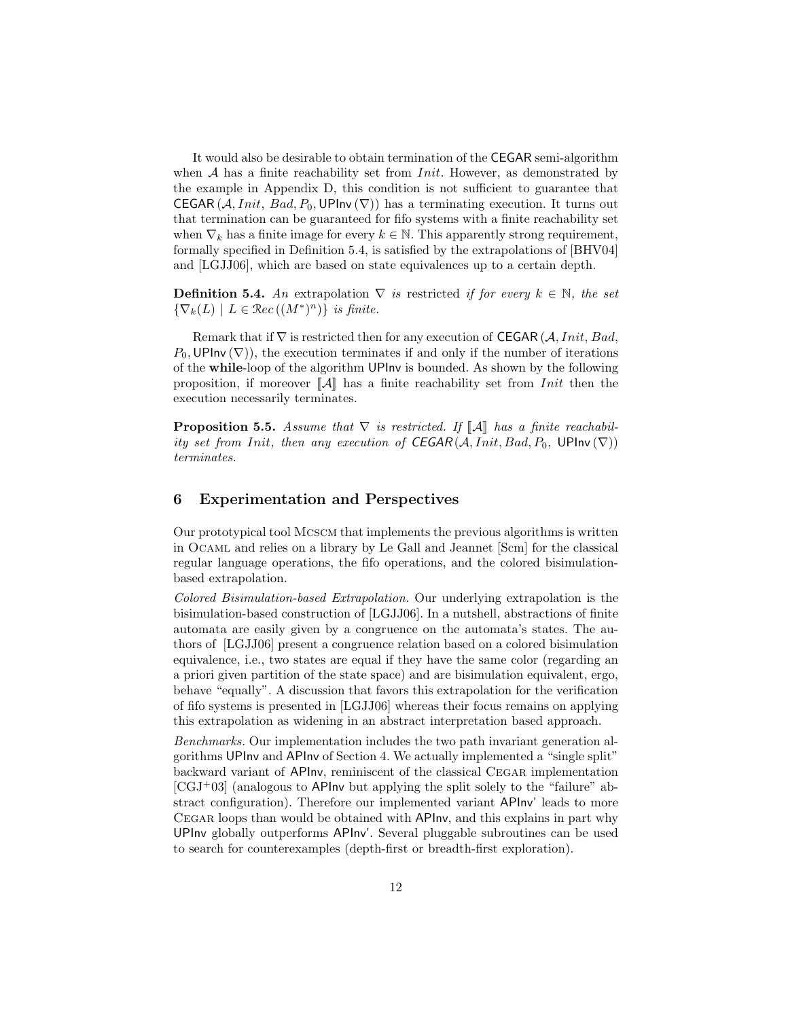It would also be desirable to obtain termination of the CEGAR semi-algorithm when  $A$  has a finite reachability set from *Init*. However, as demonstrated by the example in Appendix [D,](#page-26-0) this condition is not sufficient to guarantee that CEGAR  $(A,Init, Bad, P_0, UP$ Inv  $(\nabla))$  has a terminating execution. It turns out that termination can be guaranteed for fifo systems with a finite reachability set when  $\nabla_k$  has a finite image for every  $k \in \mathbb{N}$ . This apparently strong requirement, formally specified in Definition [5.4,](#page-11-1) is satisfied by the extrapolations of [\[BHV04\]](#page-13-8) and [\[LGJJ06\]](#page-14-0), which are based on state equivalences up to a certain depth.

<span id="page-11-1"></span>**Definition 5.4.** An extrapolation  $\nabla$  is restricted if for every  $k \in \mathbb{N}$ , the set  $\{\nabla_k(L) \mid L \in \mathcal{R}ec((M^*)^n)\}\$ is finite.

Remark that if  $\nabla$  is restricted then for any execution of CEGAR (A, Init, Bad,  $P_0$ , UPInv ( $\nabla$ ), the execution terminates if and only if the number of iterations of the while-loop of the algorithm UPInv is bounded. As shown by the following proposition, if moreover  $\llbracket \mathcal{A} \rrbracket$  has a finite reachability set from Init then the execution necessarily terminates.

**Proposition 5.5.** Assume that  $\nabla$  is restricted. If  $\llbracket A \rrbracket$  has a finite reachability set from Init, then any execution of  $CEGAR(A,Init, Bad, P_0, UPInv(\nabla))$ terminates.

## <span id="page-11-0"></span>6 Experimentation and Perspectives

Our prototypical tool Mcscm that implements the previous algorithms is written in Ocaml and relies on a library by Le Gall and Jeannet [\[Scm\]](#page-14-4) for the classical regular language operations, the fifo operations, and the colored bisimulationbased extrapolation.

Colored Bisimulation-based Extrapolation. Our underlying extrapolation is the bisimulation-based construction of [\[LGJJ06\]](#page-14-0). In a nutshell, abstractions of finite automata are easily given by a congruence on the automata's states. The authors of [\[LGJJ06\]](#page-14-0) present a congruence relation based on a colored bisimulation equivalence, i.e., two states are equal if they have the same color (regarding an a priori given partition of the state space) and are bisimulation equivalent, ergo, behave "equally". A discussion that favors this extrapolation for the verification of fifo systems is presented in [\[LGJJ06\]](#page-14-0) whereas their focus remains on applying this extrapolation as widening in an abstract interpretation based approach.

Benchmarks. Our implementation includes the two path invariant generation algorithms UPInv and APInv of Section [4.](#page-6-0) We actually implemented a "single split" backward variant of APInv, reminiscent of the classical Cegar implementation  $[CGJ+03]$  $[CGJ+03]$  (analogous to APInv but applying the split solely to the "failure" abstract configuration). Therefore our implemented variant APInv' leads to more Cegar loops than would be obtained with APInv, and this explains in part why UPInv globally outperforms APInv'. Several pluggable subroutines can be used to search for counterexamples (depth-first or breadth-first exploration).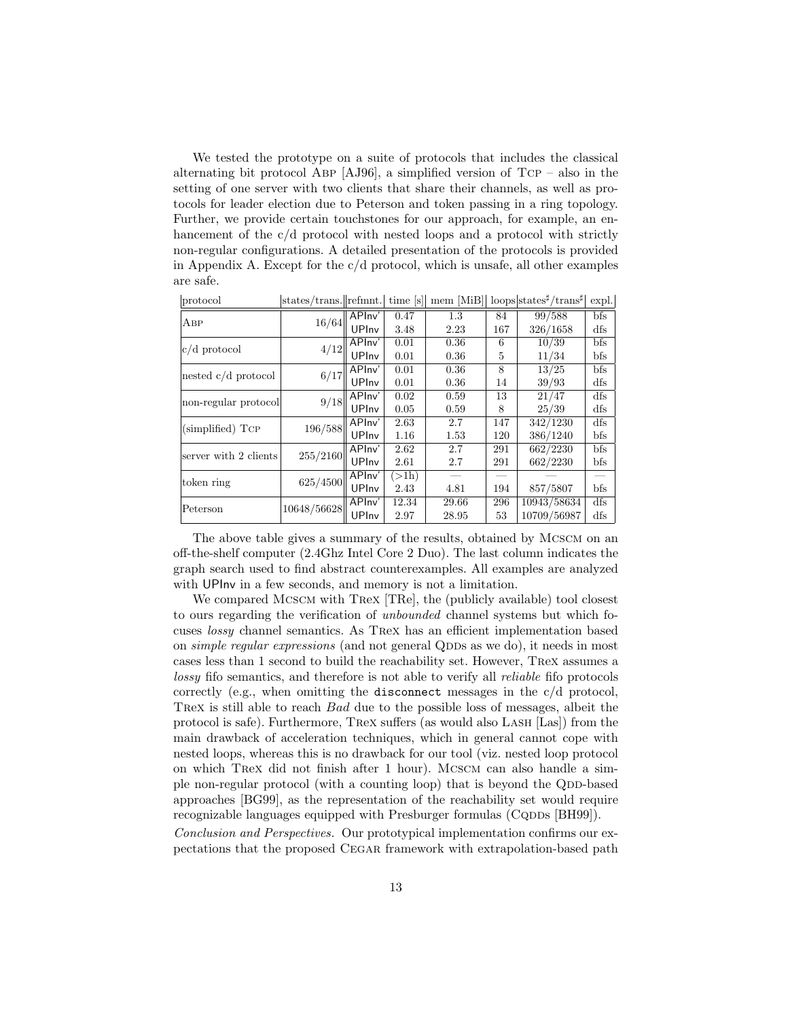We tested the prototype on a suite of protocols that includes the classical alternating bit protocol ABP  $[AJ96]$ , a simplified version of TCP – also in the setting of one server with two clients that share their channels, as well as protocols for leader election due to Peterson and token passing in a ring topology. Further, we provide certain touchstones for our approach, for example, an enhancement of the c/d protocol with nested loops and a protocol with strictly non-regular configurations. A detailed presentation of the protocols is provided in Appendix [A.](#page-15-0) Except for the  $c/d$  protocol, which is unsafe, all other examples are safe.

|                       |             |        | .                                                                                                                                                                                                                                                                    | . .   |     |             |     |
|-----------------------|-------------|--------|----------------------------------------------------------------------------------------------------------------------------------------------------------------------------------------------------------------------------------------------------------------------|-------|-----|-------------|-----|
| Авр                   | 16/64       | APInv' | 0.47                                                                                                                                                                                                                                                                 | 1.3   | 84  | 99/588      | bfs |
|                       |             | UPInv  | 3.48                                                                                                                                                                                                                                                                 | 2.23  | 167 | 326/1658    | dfs |
| $c/d$ protocol        | 4/12        | APInv' | 0.01                                                                                                                                                                                                                                                                 | 0.36  | 6   | 10/39       | bfs |
|                       |             | UPInv  | 0.01                                                                                                                                                                                                                                                                 | 0.36  | 5   | 11/34       | bfs |
| nested $c/d$ protocol | 6/17        | APIny' | 0.01                                                                                                                                                                                                                                                                 | 0.36  | 8   | 13/25       | bfs |
|                       |             | UPInv  | 0.01                                                                                                                                                                                                                                                                 | 0.36  | 14  | 39/93       | dfs |
|                       | 9/18        | APInv' | 0.02                                                                                                                                                                                                                                                                 | 0.59  | 13  | 21/47       | dfs |
| non-regular protocol  |             | UPInv  | 0.05<br>25/39<br>0.59<br>8<br>147<br>342/1230<br>2.7<br>2.63<br>386/1240<br>120<br>1.16<br>1.53<br>$\sqrt{662/2230}$<br>2.62<br>2.7<br>291<br>662/2230<br>2.61<br>2.7<br>291<br>$(>\!1h)$<br>857/5807<br>194<br>4.81<br>2.43<br>10943/58634<br>12.34<br>296<br>29.66 | dfs   |     |             |     |
|                       | 196/588     | APInv' |                                                                                                                                                                                                                                                                      |       |     |             | dfs |
| (simplified) TCP      |             | UPInv  |                                                                                                                                                                                                                                                                      |       |     |             | bfs |
| server with 2 clients | 255/2160    | APInv' |                                                                                                                                                                                                                                                                      |       |     |             | bfs |
|                       |             | UPInv  |                                                                                                                                                                                                                                                                      |       |     |             | bfs |
|                       | 625/4500    | APInv' |                                                                                                                                                                                                                                                                      |       |     |             |     |
| token ring            |             | UPInv  |                                                                                                                                                                                                                                                                      |       |     |             | bfs |
|                       | 10648/56628 | APInv' |                                                                                                                                                                                                                                                                      |       |     |             | dfs |
| Peterson              |             | UPInv  | 2.97                                                                                                                                                                                                                                                                 | 28.95 | 53  | 10709/56987 | dfs |

 $|\text{protocol}|$  states/trans. $|\text{refmnt.}|$  time [s] mem [MiB] loops states<sup>#</sup>/trans<sup>#</sup> expl.

The above table gives a summary of the results, obtained by Mcscm on an off-the-shelf computer (2.4Ghz Intel Core 2 Duo). The last column indicates the graph search used to find abstract counterexamples. All examples are analyzed with UPInv in a few seconds, and memory is not a limitation.

We compared MCSCM with TRex [\[TRe\]](#page-14-3), the (publicly available) tool closest to ours regarding the verification of unbounded channel systems but which focuses lossy channel semantics. As Trex has an efficient implementation based on simple regular expressions (and not general QDDs as we do), it needs in most cases less than 1 second to build the reachability set. However, Trex assumes a lossy fifo semantics, and therefore is not able to verify all reliable fifo protocols correctly (e.g., when omitting the disconnect messages in the c/d protocol, Trex is still able to reach Bad due to the possible loss of messages, albeit the protocol is safe). Furthermore, Trex suffers (as would also Lash [\[Las\]](#page-13-7)) from the main drawback of acceleration techniques, which in general cannot cope with nested loops, whereas this is no drawback for our tool (viz. nested loop protocol on which Trex did not finish after 1 hour). Mcscm can also handle a simple non-regular protocol (with a counting loop) that is beyond the QDD-based approaches [\[BG99\]](#page-13-1), as the representation of the reachability set would require recognizable languages equipped with Presburger formulas (CQDDs [\[BH99\]](#page-13-2)).

Conclusion and Perspectives. Our prototypical implementation confirms our expectations that the proposed Cegar framework with extrapolation-based path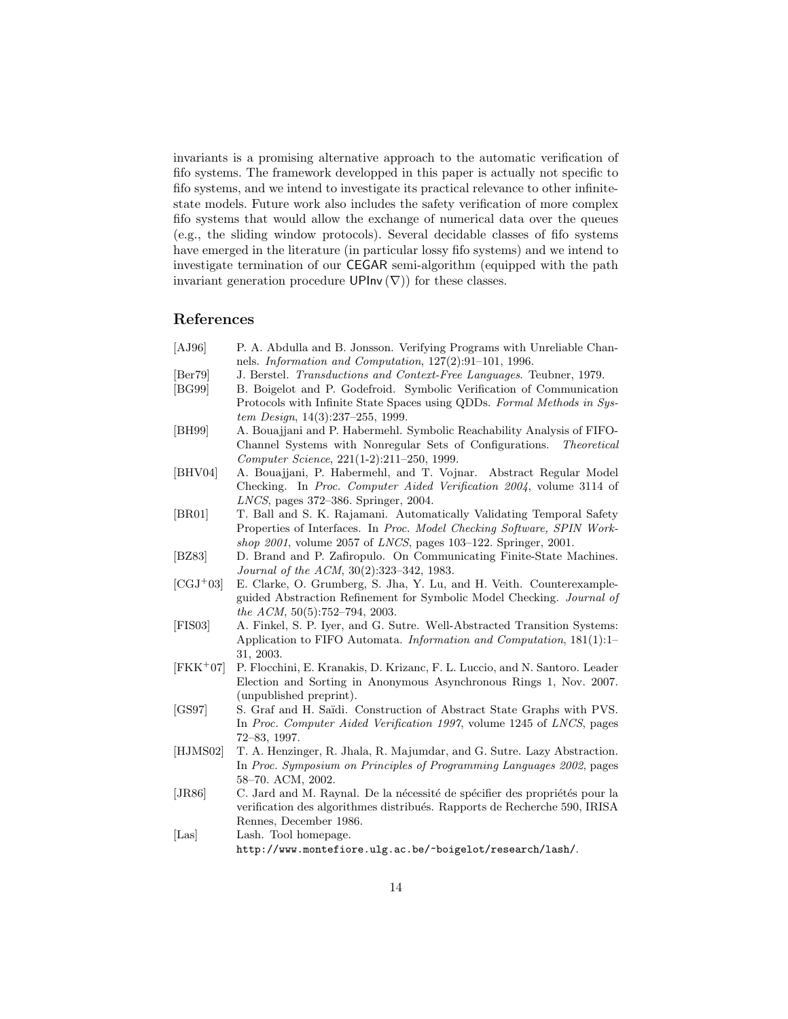invariants is a promising alternative approach to the automatic verification of fifo systems. The framework developped in this paper is actually not specific to fifo systems, and we intend to investigate its practical relevance to other infinitestate models. Future work also includes the safety verification of more complex fifo systems that would allow the exchange of numerical data over the queues (e.g., the sliding window protocols). Several decidable classes of fifo systems have emerged in the literature (in particular lossy fifo systems) and we intend to investigate termination of our CEGAR semi-algorithm (equipped with the path invariant generation procedure  $UPInv(\nabla)$  for these classes.

## References

- <span id="page-13-12"></span>[AJ96] P. A. Abdulla and B. Jonsson. Verifying Programs with Unreliable Channels. Information and Computation, 127(2):91–101, 1996.
- <span id="page-13-11"></span>[Ber79] J. Berstel. Transductions and Context-Free Languages. Teubner, 1979.
- <span id="page-13-1"></span>[BG99] B. Boigelot and P. Godefroid. Symbolic Verification of Communication Protocols with Infinite State Spaces using QDDs. Formal Methods in System Design, 14(3):237–255, 1999.
- <span id="page-13-2"></span>[BH99] A. Bouajjani and P. Habermehl. Symbolic Reachability Analysis of FIFO-Channel Systems with Nonregular Sets of Configurations. Theoretical Computer Science, 221(1-2):211–250, 1999.
- <span id="page-13-8"></span>[BHV04] A. Bouajjani, P. Habermehl, and T. Vojnar. Abstract Regular Model Checking. In Proc. Computer Aided Verification 2004, volume 3114 of LNCS, pages 372–386. Springer, 2004.
- <span id="page-13-5"></span>[BR01] T. Ball and S. K. Rajamani. Automatically Validating Temporal Safety Properties of Interfaces. In Proc. Model Checking Software, SPIN Workshop 2001, volume 2057 of LNCS, pages 103–122. Springer, 2001.
- <span id="page-13-0"></span>[BZ83] D. Brand and P. Zafiropulo. On Communicating Finite-State Machines. Journal of the ACM, 30(2):323–342, 1983.
- <span id="page-13-4"></span>[CGJ<sup>+</sup>03] E. Clarke, O. Grumberg, S. Jha, Y. Lu, and H. Veith. Counterexampleguided Abstraction Refinement for Symbolic Model Checking. Journal of the ACM, 50(5):752–794, 2003.
- <span id="page-13-3"></span>[FIS03] A. Finkel, S. P. Iyer, and G. Sutre. Well-Abstracted Transition Systems: Application to FIFO Automata. Information and Computation, 181(1):1– 31, 2003.
- <span id="page-13-13"></span>[FKK<sup>+</sup>07] P. Flocchini, E. Kranakis, D. Krizanc, F. L. Luccio, and N. Santoro. Leader Election and Sorting in Anonymous Asynchronous Rings 1, Nov. 2007. (unpublished preprint).
- <span id="page-13-10"></span>[GS97] S. Graf and H. Saïdi. Construction of Abstract State Graphs with PVS. In Proc. Computer Aided Verification 1997, volume 1245 of LNCS, pages 72–83, 1997.
- <span id="page-13-6"></span>[HJMS02] T. A. Henzinger, R. Jhala, R. Majumdar, and G. Sutre. Lazy Abstraction. In Proc. Symposium on Principles of Programming Languages 2002, pages 58–70. ACM, 2002.
- <span id="page-13-9"></span>[JR86] C. Jard and M. Raynal. De la nécessité de spécifier des propriétés pour la verification des algorithmes distribués. Rapports de Recherche 590, IRISA Rennes, December 1986.
- <span id="page-13-7"></span>[Las] Lash. Tool homepage. <http://www.montefiore.ulg.ac.be/~boigelot/research/lash/>.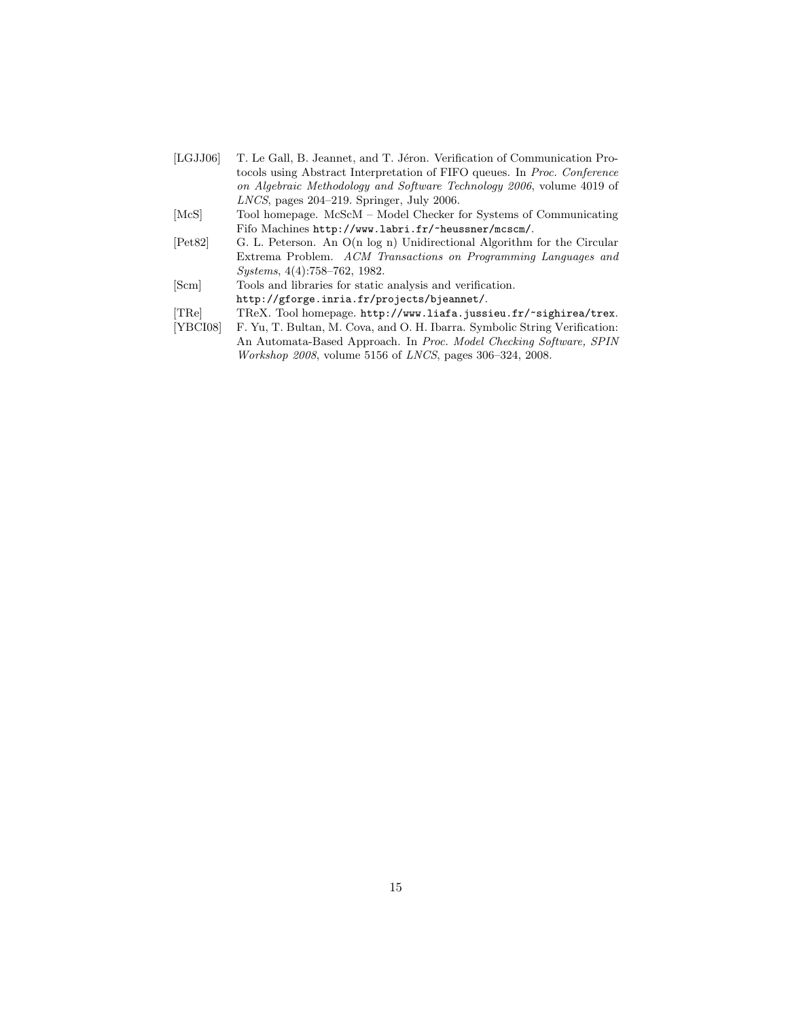- <span id="page-14-0"></span>[LGJJ06] T. Le Gall, B. Jeannet, and T. Jéron. Verification of Communication Protocols using Abstract Interpretation of FIFO queues. In Proc. Conference on Algebraic Methodology and Software Technology 2006, volume 4019 of LNCS, pages 204–219. Springer, July 2006.
- <span id="page-14-2"></span>[McS] Tool homepage. McScM – Model Checker for Systems of Communicating Fifo Machines <http://www.labri.fr/~heussner/mcscm/>.
- <span id="page-14-5"></span>[Pet82] G. L. Peterson. An O(n log n) Unidirectional Algorithm for the Circular Extrema Problem. ACM Transactions on Programming Languages and Systems, 4(4):758–762, 1982.
- <span id="page-14-4"></span>[Scm] Tools and libraries for static analysis and verification. <http://gforge.inria.fr/projects/bjeannet/>.
- <span id="page-14-3"></span>[TRe] TReX. Tool homepage. <http://www.liafa.jussieu.fr/~sighirea/trex>.<br>[YBCI08] F. Yu, T. Bultan, M. Cova, and O. H. Ibarra. Symbolic String Verification:
- <span id="page-14-1"></span>F. Yu, T. Bultan, M. Cova, and O. H. Ibarra. Symbolic String Verification: An Automata-Based Approach. In Proc. Model Checking Software, SPIN Workshop 2008, volume 5156 of LNCS, pages 306–324, 2008.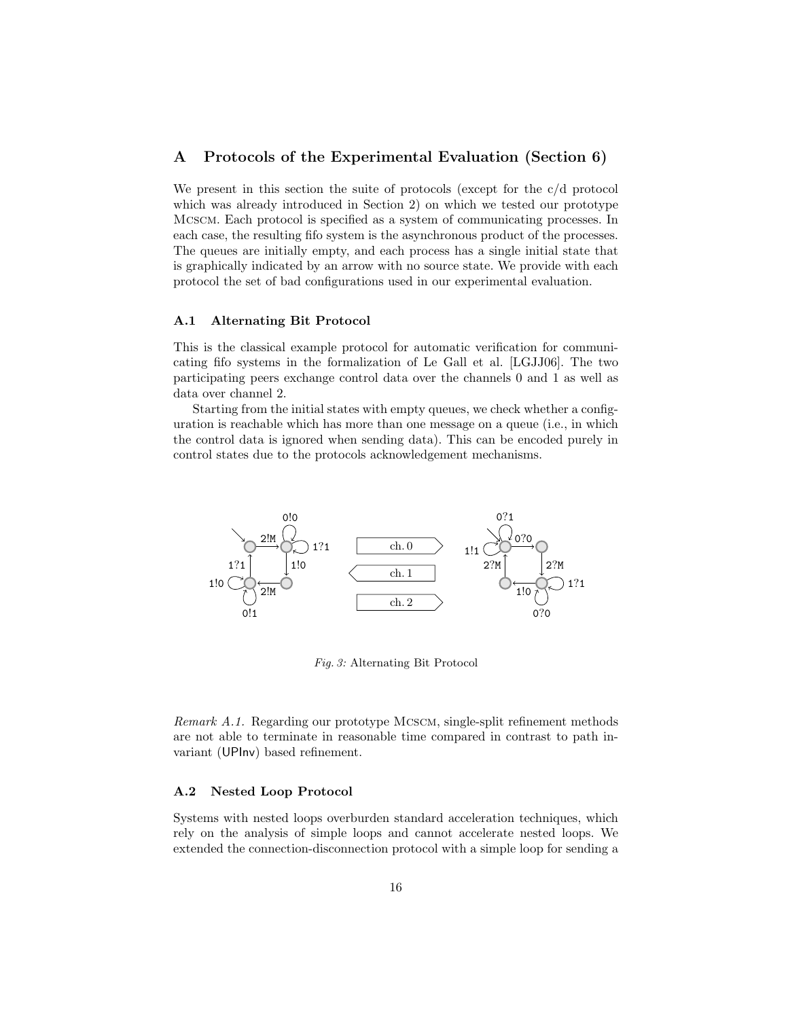## <span id="page-15-0"></span>A Protocols of the Experimental Evaluation (Section [6\)](#page-11-0)

We present in this section the suite of protocols (except for the c/d protocol which was already introduced in Section [2\)](#page-2-0) on which we tested our prototype Mcscm. Each protocol is specified as a system of communicating processes. In each case, the resulting fifo system is the asynchronous product of the processes. The queues are initially empty, and each process has a single initial state that is graphically indicated by an arrow with no source state. We provide with each protocol the set of bad configurations used in our experimental evaluation.

#### A.1 Alternating Bit Protocol

This is the classical example protocol for automatic verification for communicating fifo systems in the formalization of Le Gall et al. [\[LGJJ06\]](#page-14-0). The two participating peers exchange control data over the channels 0 and 1 as well as data over channel 2.

Starting from the initial states with empty queues, we check whether a configuration is reachable which has more than one message on a queue (i.e., in which the control data is ignored when sending data). This can be encoded purely in control states due to the protocols acknowledgement mechanisms.



Fig. 3: Alternating Bit Protocol

Remark A.1. Regarding our prototype MCSCM, single-split refinement methods are not able to terminate in reasonable time compared in contrast to path invariant (UPInv) based refinement.

#### A.2 Nested Loop Protocol

Systems with nested loops overburden standard acceleration techniques, which rely on the analysis of simple loops and cannot accelerate nested loops. We extended the connection-disconnection protocol with a simple loop for sending a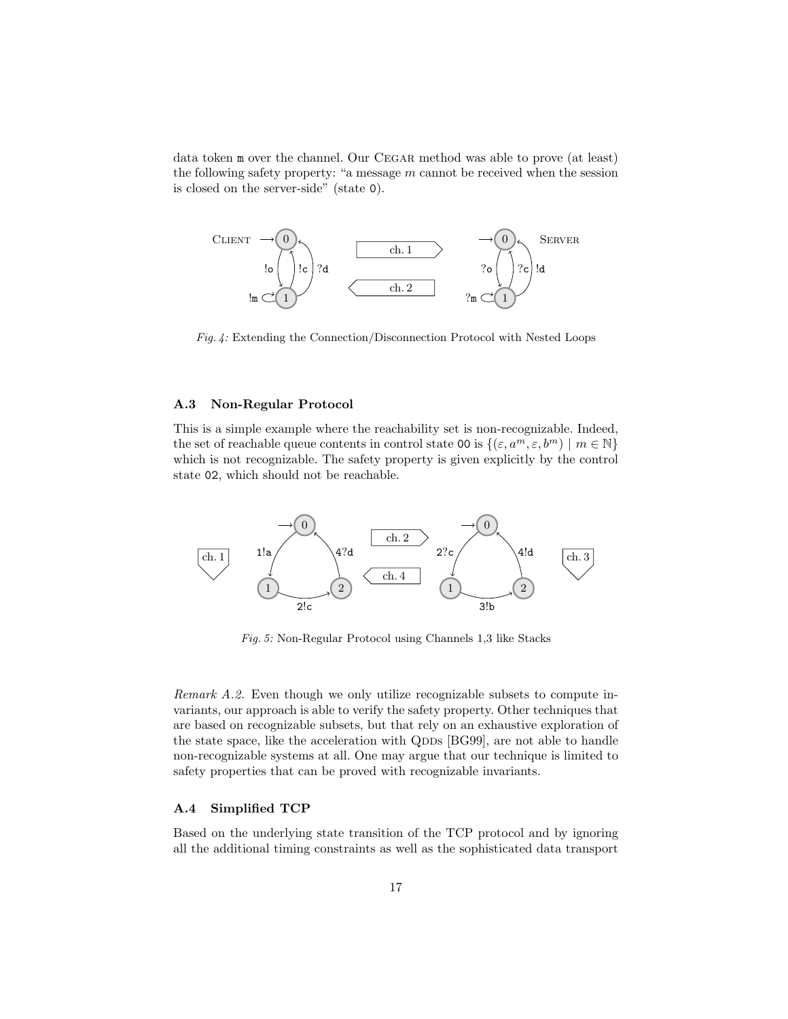data token m over the channel. Our CEGAR method was able to prove (at least) the following safety property: "a message  $m$  cannot be received when the session is closed on the server-side" (state 0).



Fig. 4: Extending the Connection/Disconnection Protocol with Nested Loops

#### A.3 Non-Regular Protocol

This is a simple example where the reachability set is non-recognizable. Indeed, the set of reachable queue contents in control state 00 is  $\{(\varepsilon, a^m, \varepsilon, b^m) \mid m \in \mathbb{N}\}\$ which is not recognizable. The safety property is given explicitly by the control state 02, which should not be reachable.



Fig. 5: Non-Regular Protocol using Channels 1,3 like Stacks

Remark A.2. Even though we only utilize recognizable subsets to compute invariants, our approach is able to verify the safety property. Other techniques that are based on recognizable subsets, but that rely on an exhaustive exploration of the state space, like the acceleration with QDDs [\[BG99\]](#page-13-1), are not able to handle non-recognizable systems at all. One may argue that our technique is limited to safety properties that can be proved with recognizable invariants.

#### A.4 Simplified TCP

Based on the underlying state transition of the TCP protocol and by ignoring all the additional timing constraints as well as the sophisticated data transport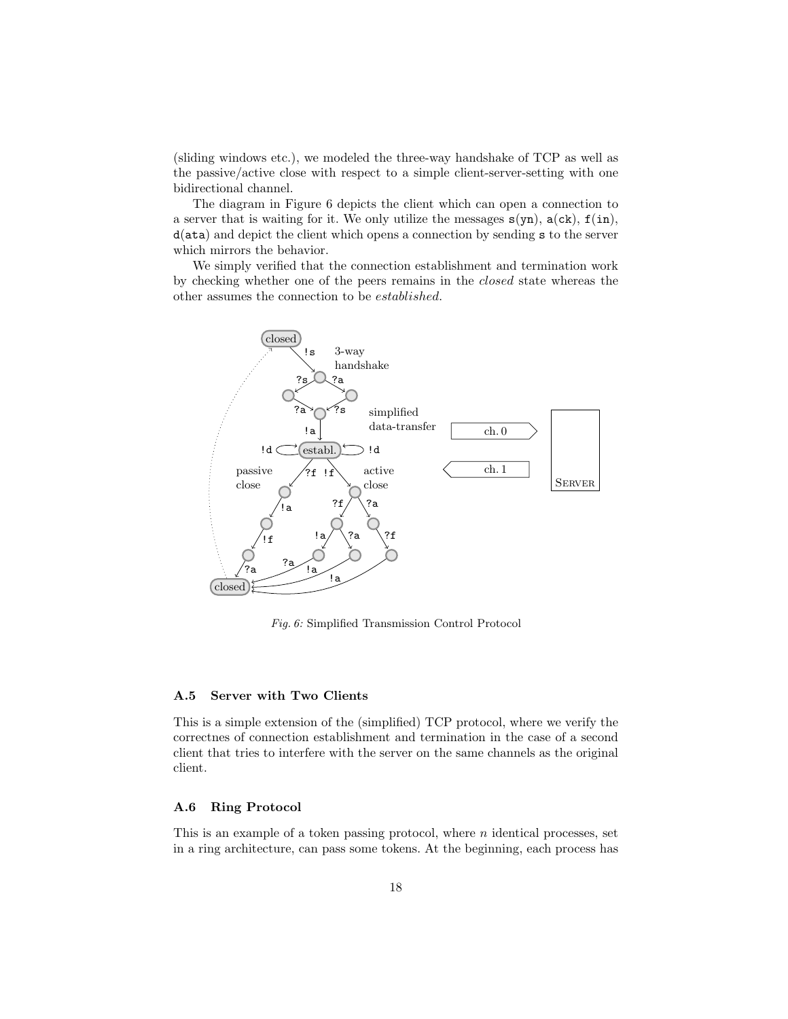(sliding windows etc.), we modeled the three-way handshake of TCP as well as the passive/active close with respect to a simple client-server-setting with one bidirectional channel.

The diagram in Figure [6](#page-17-0) depicts the client which can open a connection to a server that is waiting for it. We only utilize the messages  $s(yn)$ ,  $a(ck)$ ,  $f(in)$ , d(ata) and depict the client which opens a connection by sending s to the server which mirrors the behavior.

We simply verified that the connection establishment and termination work by checking whether one of the peers remains in the closed state whereas the other assumes the connection to be established.

<span id="page-17-0"></span>

Fig. 6: Simplified Transmission Control Protocol

#### A.5 Server with Two Clients

This is a simple extension of the (simplified) TCP protocol, where we verify the correctnes of connection establishment and termination in the case of a second client that tries to interfere with the server on the same channels as the original client.

#### A.6 Ring Protocol

This is an example of a token passing protocol, where  $n$  identical processes, set in a ring architecture, can pass some tokens. At the beginning, each process has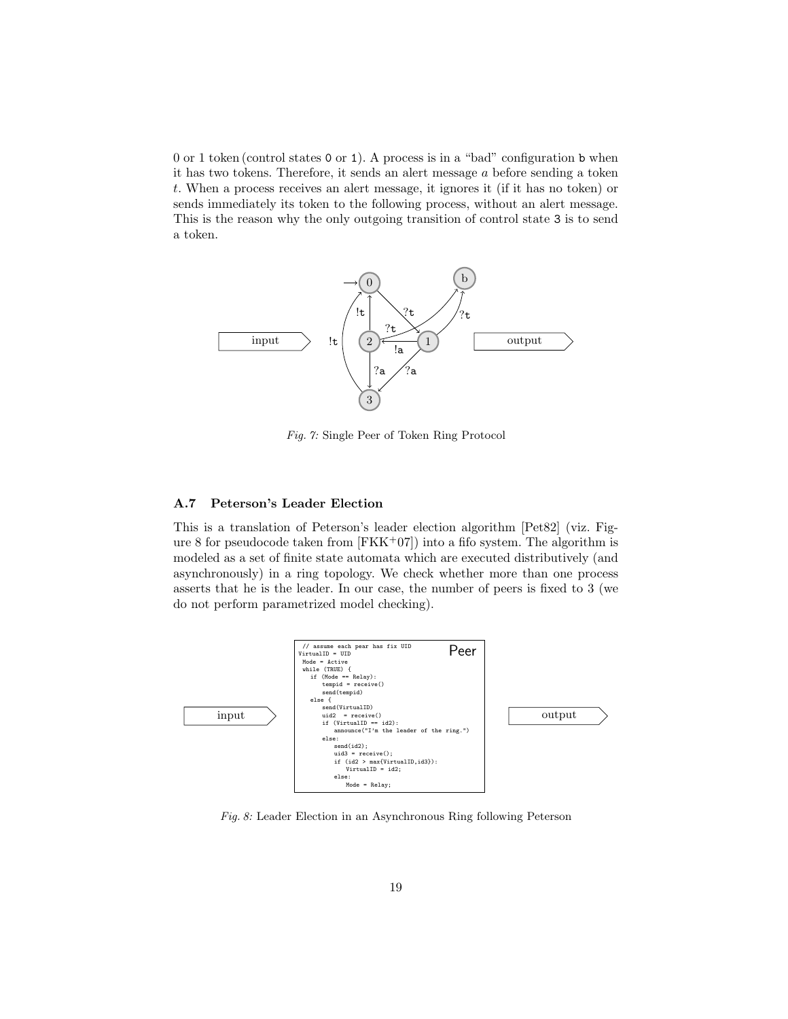0 or 1 token (control states 0 or 1). A process is in a "bad" configuration b when it has two tokens. Therefore, it sends an alert message a before sending a token t. When a process receives an alert message, it ignores it (if it has no token) or sends immediately its token to the following process, without an alert message. This is the reason why the only outgoing transition of control state 3 is to send a token.



Fig. 7: Single Peer of Token Ring Protocol

## A.7 Peterson's Leader Election

This is a translation of Peterson's leader election algorithm [\[Pet82\]](#page-14-5) (viz. Fig-ure [8](#page-18-0) for pseudocode taken from  $[FKK^+07]$  $[FKK^+07]$  into a fifo system. The algorithm is modeled as a set of finite state automata which are executed distributively (and asynchronously) in a ring topology. We check whether more than one process asserts that he is the leader. In our case, the number of peers is fixed to 3 (we do not perform parametrized model checking).

<span id="page-18-0"></span>

Fig. 8: Leader Election in an Asynchronous Ring following Peterson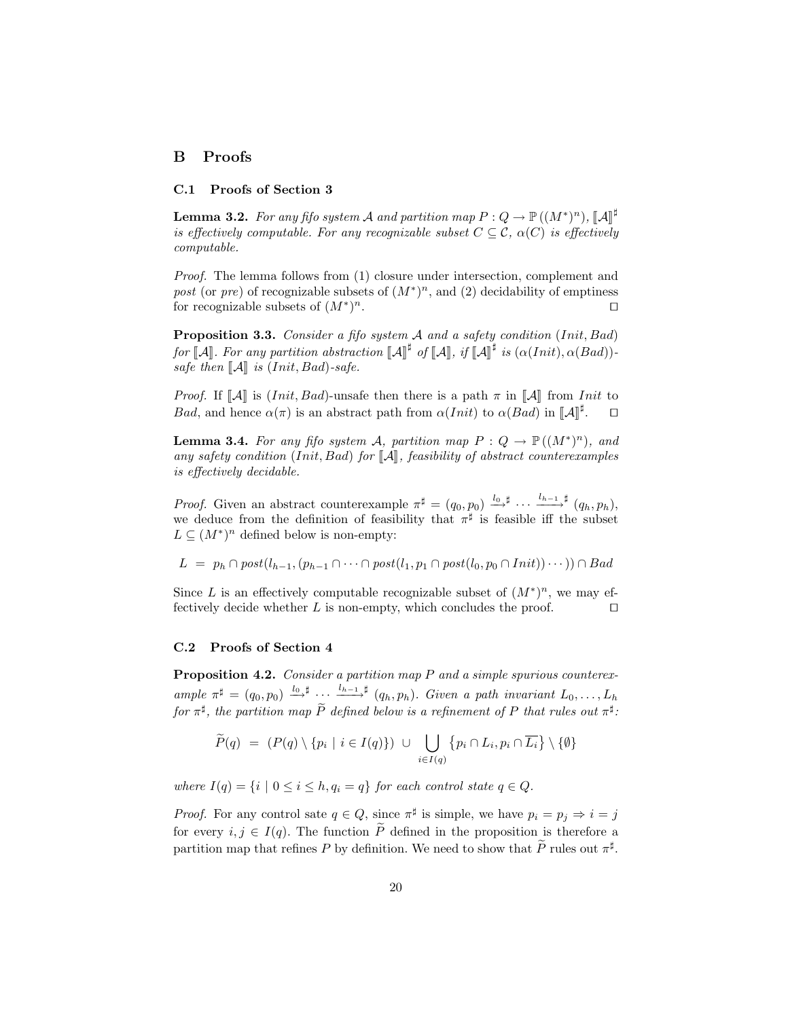## B Proofs

#### C.1 Proofs of Section [3](#page-4-0)

<span id="page-19-2"></span>**Lemma 3.2.** For any fifo system A and partition map  $P: Q \to \mathbb{P}((M^*)^n)$ ,  $[\![A]\!]^{\sharp}$ <br>is effectively computable. For any recognizable system  $C \subseteq \mathcal{C}$ ,  $\alpha(C)$  is effectively is effectively computable. For any recognizable subset  $C \subseteq \mathcal{C}$ ,  $\alpha(C)$  is effectively computable.

Proof. The lemma follows from (1) closure under intersection, complement and post (or pre) of recognizable subsets of  $(M^*)^n$ , and (2) decidability of emptiness for recognizable subsets of  $(M^*)$  $n$ .

<span id="page-19-0"></span>Proposition 3.3. Consider a fifo system A and a safety condition (Init, Bad) for  $\llbracket \mathcal{A} \rrbracket$ . For any partition abstraction  $\llbracket \mathcal{A} \rrbracket^{\sharp}$  of  $\llbracket \mathcal{A} \rrbracket$ , if  $\llbracket \mathcal{A} \rrbracket^{\sharp}$  is  $(\alpha(Init), \alpha(Bad))$ -<br>eate than  $\llbracket A \rrbracket$  is  $(Init, \text{Red})$ safe then  $\llbracket \mathcal{A} \rrbracket$  is (Init, Bad)-safe.

*Proof.* If  $\llbracket \mathcal{A} \rrbracket$  is (*Init, Bad*)-unsafe then there is a path  $\pi$  in  $\llbracket \mathcal{A} \rrbracket$  from *Init* to Bad, and hence  $\alpha(\pi)$  is an abstract path from  $\alpha(Init)$  to  $\alpha(Bad)$  in  $\llbracket A \rrbracket^{\sharp}$  $\Box$ 

<span id="page-19-1"></span>**Lemma 3.4.** For any fifo system A, partition map  $P: Q \to \mathbb{P}((M^*)^n)$ , and any safety condition (Init, Bad) for  $\llbracket \mathcal{A} \rrbracket$ , feasibility of abstract counterexamples is effectively decidable.

*Proof.* Given an abstract counterexample  $\pi^{\sharp} = (q_0, p_0) \xrightarrow{l_0, \sharp} \cdots \xrightarrow{l_{h-1}, \sharp} (q_h, p_h)$ , we deduce from the definition of feasibility that  $\pi^{\sharp}$  is feasible iff the subset  $L \subseteq (M^*)^n$  defined below is non-empty:

 $L = p_h \cap post(l_{h-1}, (p_{h-1} \cap \cdots \cap post(l_1, p_1 \cap post(l_0, p_0 \cap Init)) \cap Bad$ 

Since L is an effectively computable recognizable subset of  $(M^*)^n$ , we may effectively decide whether  $L$  is non-empty, which concludes the proof.  $\Box$ 

#### C.2 Proofs of Section [4](#page-6-0)

Proposition 4.2. Consider a partition map P and a simple spurious counterexample  $\pi^{\sharp} = (q_0, p_0) \stackrel{l_0, \sharp}{\longrightarrow} \cdots \stackrel{l_{h-1}, \sharp}{\longrightarrow} (q_h, p_h)$ . Given a path invariant  $L_0, \ldots, L_h$ for  $\pi^{\sharp}$ , the partition map  $\tilde{P}$  defined below is a refinement of P that rules out  $\pi^{\sharp}$ :

$$
\widetilde{P}(q) = (P(q) \setminus \{p_i \mid i \in I(q)\}) \cup \bigcup_{i \in I(q)} \{p_i \cap L_i, p_i \cap \overline{L_i}\} \setminus \{\emptyset\}
$$

where  $I(q) = \{i \mid 0 \leq i \leq h, q_i = q\}$  for each control state  $q \in Q$ .

*Proof.* For any control sate  $q \in Q$ , since  $\pi^{\sharp}$  is simple, we have  $p_i = p_j \Rightarrow i = j$ for every  $i, j \in I(q)$ . The function  $\tilde{P}$  defined in the proposition is therefore a partition map that refines P by definition. We need to show that  $\tilde{P}$  rules out  $\pi^{\sharp}$ .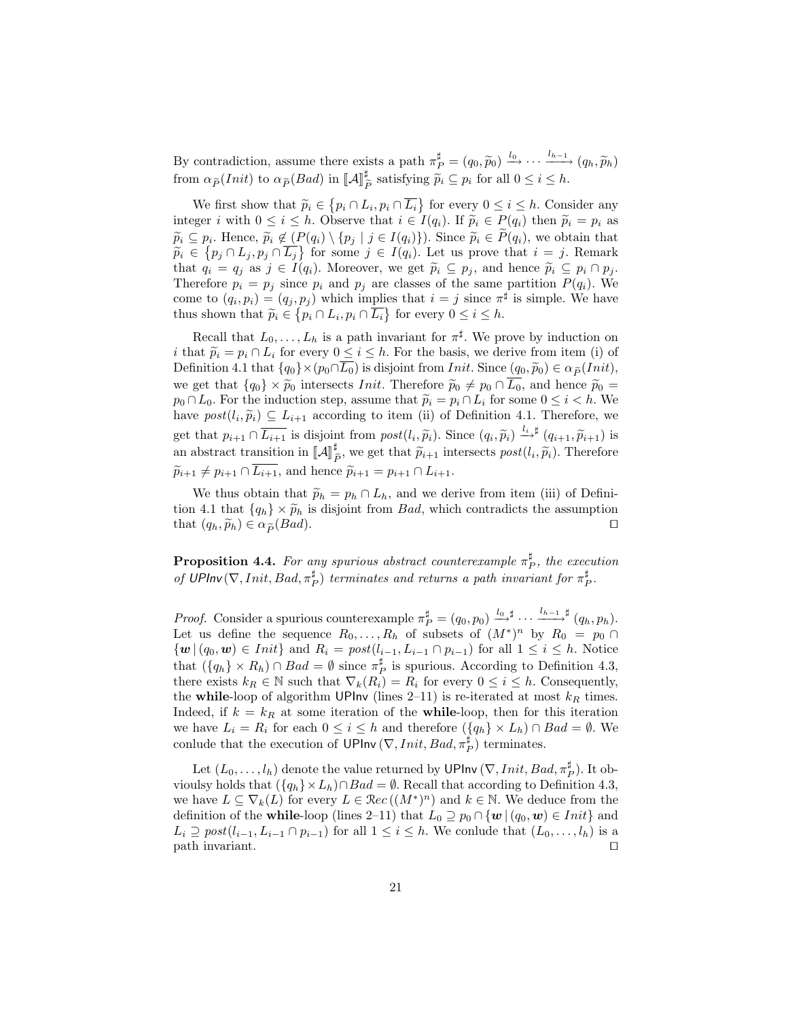By contradiction, assume there exists a path  $\pi_P^{\sharp} = (q_0, \widetilde{p}_0) \xrightarrow{l_0} \cdots \xrightarrow{l_{h-1}} (q_h, \widetilde{p}_h)$ from  $\alpha_{\widetilde{P}}(Init)$  to  $\alpha_{\widetilde{P}}(Bad)$  in  $\llbracket \mathcal{A} \rrbracket_{\widetilde{I}}^{\sharp}$  $\tilde{p}_{\tilde{P}}$  satisfying  $\tilde{p}_i \subseteq p_i$  for all  $0 \leq i \leq h$ .

We first show that  $\widetilde{p}_i \in \{p_i \cap L_i, p_i \cap \overline{L_i}\}$  for every  $0 \le i \le h$ . Consider any<br>over i with  $0 \le i \le h$ . Observe that  $i \in I(a)$ . If  $\widetilde{p}_i \in P(a)$  then  $\widetilde{p}_i = p_i$  as integer i with  $0 \le i \le h$ . Observe that  $i \in I(q_i)$ . If  $\widetilde{p}_i \in P(q_i)$  then  $\widetilde{p}_i = p_i$  as  $\widetilde{p}_i \subseteq p_i$ . Hence,  $\widetilde{p}_i \notin (P(q_i) \setminus \{p_j \mid j \in I(q_i)\})$ . Since  $\widetilde{p}_i \in P(q_i)$ , we obtain that  $\widetilde{p}_i \in I_{n_i} \cap I_{n_i} \cap \overline{I_{n_i}}$  for some  $i \in I(a_i)$ . Let us prove that  $i = i$ . Bemark  $\widetilde{p}_i \in \{p_j \cap L_j, p_j \cap \overline{L_j}\}$  for some  $j \in I(q_i)$ . Let us prove that  $i = j$ . Remark that  $q_i = q_j$  as  $j \in I(q_i)$ . Moreover, we get  $\widetilde{p}_i \subseteq p_j$ , and hence  $\widetilde{p}_i \subseteq p_i \cap p_j$ . Therefore  $p_i = p_j$  since  $p_i$  and  $p_j$  are classes of the same partition  $P(q_i)$ . We come to  $(q_i, p_i) = (q_j, p_j)$  which implies that  $i = j$  since  $\pi^{\sharp}$  is simple. We have thus shown that  $\widetilde{p}_i \in \{p_i \cap L_i, p_i \cap \overline{L_i}\}$  for every  $0 \leq i \leq h$ .

Recall that  $L_0, \ldots, L_h$  is a path invariant for  $\pi^{\sharp}$ . We prove by induction on i that  $\tilde{p}_i = p_i \cap L_i$  for every  $0 \leq i \leq h$ . For the basis, we derive from item [\(i\)](#page-7-2) of Definition [4.1](#page-7-3) that  $\{q_0\}\times(p_0\cap\overline{L_0})$  is disjoint from *Init*. Since  $(q_0, \widetilde{p}_0) \in \alpha_{\widetilde{P}}(Init)$ , we get that  $\{q_0\} \times \tilde{p}_0$  intersects *Init*. Therefore  $\tilde{p}_0 \neq p_0 \cap \overline{L_0}$ , and hence  $\tilde{p}_0 =$  $p_0 \cap L_0$ . For the induction step, assume that  $\widetilde{p}_i = p_i \cap L_i$  for some  $0 \leq i < h$ . We have  $post(l_i, \widetilde{p}_i) \subseteq L_{i+1}$  according to item [\(ii\)](#page-7-4) of Definition [4.1.](#page-7-3) Therefore, we get that  $p_{i+1} \cap \overline{L_{i+1}}$  is disjoint from  $post(l_i, \tilde{p}_i)$ . Since  $(q_i, \tilde{p}_i) \stackrel{l_i + \sharp}{\sim} (q_{i+1}, \tilde{p}_{i+1})$  is an abstract transition in  $\llbracket A \rrbracket_{\widetilde{P}}^{\sharp}$ , we get that  $\widetilde{p}_{i+1}$  intersects  $post(l_i, \widetilde{p}_i)$ . Therefore  $\widetilde{p}_{i+1} \neq p_{i+1} \cap \overline{L_{i+1}}$ , and hence  $\widetilde{p}_{i+1} = p_{i+1} \cap L_{i+1}$ .

We thus obtain that  $\widetilde{p}_h = p_h \cap L_h$ , and we derive from item [\(iii\)](#page-7-3) of Defini-tion [4.1](#page-7-3) that  $\{q_h\} \times \tilde{p}_h$  is disjoint from *Bad*, which contradicts the assumption that  $(q_h, \tilde{p}_h) \in \alpha_{\tilde{P}}(Bad)$ . that  $(q_h, \widetilde{p}_h) \in \alpha_{\widetilde{P}}(Bad).$ 

**Proposition 4.4.** For any spurious abstract counterexample  $\pi_P^{\sharp}$ , the execution of UPInv $(\nabla,Init, Bad, \pi_P^{\sharp})$  terminates and returns a path invariant for  $\pi_P^{\sharp}$ .

*Proof.* Consider a spurious counterexample  $\pi_P^{\sharp} = (q_0, p_0) \stackrel{l_0, \sharp}{\longrightarrow} \cdots \stackrel{l_{h-1}, \sharp}{\longrightarrow} (q_h, p_h)$ . Let us define the sequence  $R_0, \ldots, R_h$  of subsets of  $(M^*)^n$  by  $R_0 = p_0 \cap$  $\{w \mid (q_0, w) \in Init\}$  and  $R_i = post(l_{i-1}, L_{i-1} \cap p_{i-1})$  for all  $1 \leq i \leq h$ . Notice that  $({q_h} \times R_h) \cap Bad = \emptyset$  since  $\pi_P^{\sharp}$  is spurious. According to Definition [4.3,](#page-7-0) there exists  $k_R \in \mathbb{N}$  such that  $\nabla_k(R_i) = R_i$  for every  $0 \leq i \leq h$ . Consequently, the while-loop of algorithm UPInv (lines [2](#page-9-1)[–11\)](#page-9-2) is re-iterated at most  $k_R$  times. Indeed, if  $k = k_R$  at some iteration of the while-loop, then for this iteration we have  $L_i = R_i$  for each  $0 \leq i \leq h$  and therefore  $({q_h} \times L_h) \cap Bad = \emptyset$ . We conlude that the execution of UPInv  $(\nabla,Init, Bad, \pi_P^{\sharp})$  terminates.

<span id="page-20-0"></span>Let  $(L_0, \ldots, l_h)$  denote the value returned by UPInv  $(\nabla,Init, Bad, \pi_P^{\sharp})$ . It obvioulsy holds that  $({q_h} \times L_h) \cap Bad = \emptyset$ . Recall that according to Definition [4.3,](#page-7-0) we have  $L \subseteq \nabla_k(L)$  for every  $L \in \mathcal{R}ec((M^*)^n)$  and  $k \in \mathbb{N}$ . We deduce from the definition of the **while-loop** (lines [2](#page-9-1)[–11\)](#page-9-2) that  $L_0 \supseteq p_0 \cap \{w \mid (q_0, w) \in Init\}$  and  $L_i \supseteq post(l_{i-1}, L_{i-1} \cap p_{i-1})$  for all  $1 \leq i \leq h$ . We conlude that  $(L_0, \ldots, l_h)$  is a  $\Box$  path invariant.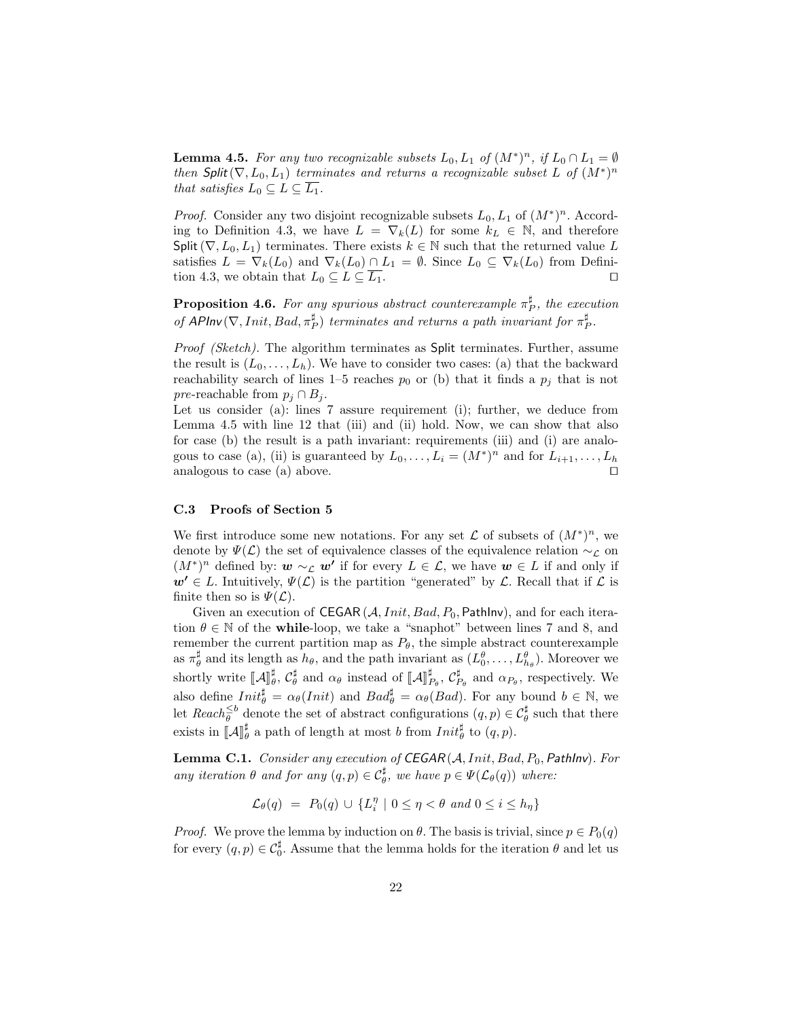**Lemma 4.5.** For any two recognizable subsets  $L_0, L_1$  of  $(M^*)^n$ , if  $L_0 \cap L_1 = \emptyset$ then Split( $\nabla, L_0, L_1$ ) terminates and returns a recognizable subset L of  $(M^*)^n$ that satisfies  $L_0 \subseteq L \subseteq L_1$ .

*Proof.* Consider any two disjoint recognizable subsets  $L_0, L_1$  of  $(M^*)^n$ . Accord-ing to Definition [4.3,](#page-7-0) we have  $L = \nabla_k(L)$  for some  $k_L \in \mathbb{N}$ , and therefore Split( $\nabla, L_0, L_1$ ) terminates. There exists  $k \in \mathbb{N}$  such that the returned value L satisfies  $L = \nabla_k(L_0)$  and  $\nabla_k(L_0) \cap L_1 = \emptyset$ . Since  $L_0 \subseteq \nabla_k(L_0)$  from Defini-tion [4.3,](#page-7-0) we obtain that  $L_0 \subseteq L \subseteq \overline{L_1}$ .

<span id="page-21-1"></span>**Proposition 4.6.** For any spurious abstract counterexample  $\pi_P^{\sharp}$ , the execution of APInv $(\nabla,Init, Bad, \pi_P^{\sharp})$  terminates and returns a path invariant for  $\pi_P^{\sharp}$ .

Proof (Sketch). The algorithm terminates as Split terminates. Further, assume the result is  $(L_0, \ldots, L_h)$ . We have to consider two cases: (a) that the backward reachability search of lines [1–](#page-9-3)[5](#page-9-4) reaches  $p_0$  or (b) that it finds a  $p_j$  that is not pre-reachable from  $p_j \cap B_j$ .

Let us consider (a): lines [7](#page-9-5) assure requirement [\(i\)](#page-7-2); further, we deduce from Lemma [4.5](#page-8-0) with line [12](#page-9-6) that [\(iii\)](#page-7-3) and [\(ii\)](#page-7-4) hold. Now, we can show that also for case (b) the result is a path invariant: requirements [\(iii\)](#page-7-3) and [\(i\)](#page-7-2) are analo-gous to case (a), [\(ii\)](#page-7-4) is guaranteed by  $L_0, \ldots, L_i = (M^*)^n$  and for  $L_{i+1}, \ldots, L_h$ analogous to case  $(a)$  above.

## C.3 Proofs of Section [5](#page-9-0)

We first introduce some new notations. For any set  $\mathcal L$  of subsets of  $(M^*)^n$ , we denote by  $\Psi(\mathcal{L})$  the set of equivalence classes of the equivalence relation  $\sim_{\mathcal{L}}$  on  $(M^*)^n$  defined by:  $w \sim_{\mathcal{L}} w'$  if for every  $L \in \mathcal{L}$ , we have  $w \in L$  if and only if  $w' \in L$ . Intuitively,  $\Psi(\mathcal{L})$  is the partition "generated" by  $\mathcal{L}$ . Recall that if  $\mathcal{L}$  is finite then so is  $\Psi(\mathcal{L})$ .

Given an execution of CEGAR  $(A,Init, Bad, P_0, PathInv)$ , and for each iteration  $\theta \in \mathbb{N}$  of the **while-loop**, we take a "snaphot" between lines [7](#page-10-7) and [8,](#page-10-3) and remember the current partition map as  $P_{\theta}$ , the simple abstract counterexample as  $\pi^\sharp_\theta$  and its length as  $h_\theta$ , and the path invariant as  $(L^\theta_0, \ldots, L^\theta_{h_\theta})$ . Moreover we shortly write  $\llbracket \mathcal{A} \rrbracket_{\theta}^{\sharp}$ ,  $\mathcal{C}_{\theta}^{\sharp}$  and  $\alpha_{\theta}$  instead of  $\llbracket \mathcal{A} \rrbracket_{P_{\theta}}^{\sharp}$ ,  $\mathcal{C}_{P_{\theta}}^{\sharp}$  and  $\alpha_{P_{\theta}}$ , respectively. We also define  $Init_{\theta}^{\sharp} = \alpha_{\theta}(Init)$  and  $Bad_{\theta}^{\sharp} = \alpha_{\theta}(Bad)$ . For any bound  $b \in \mathbb{N}$ , we let  $Reach_{\theta}^{\leq b}$  denote the set of abstract configurations  $(q, p) \in C_{\theta}^{\sharp}$  such that there exists in  $\llbracket \mathcal{A} \rrbracket_{\theta}^{\sharp}$  a path of length at most b from  $Init_{\theta}^{\sharp}$  to  $(q, p)$ .

<span id="page-21-0"></span>**Lemma C.1.** Consider any execution of CEGAR  $(A,Init, Bad, P_0, PathInv)$ . For any iteration  $\theta$  and for any  $(q, p) \in C^{\sharp}_{\theta}$ , we have  $p \in \Psi(\mathcal{L}_{\theta}(q))$  where:

$$
\mathcal{L}_{\theta}(q) = P_0(q) \cup \{L_i^{\eta} \mid 0 \le \eta < \theta \text{ and } 0 \le i \le h_{\eta}\}\
$$

*Proof.* We prove the lemma by induction on  $\theta$ . The basis is trivial, since  $p \in P_0(q)$ for every  $(q, p) \in C_0^{\sharp}$ . Assume that the lemma holds for the iteration  $\theta$  and let us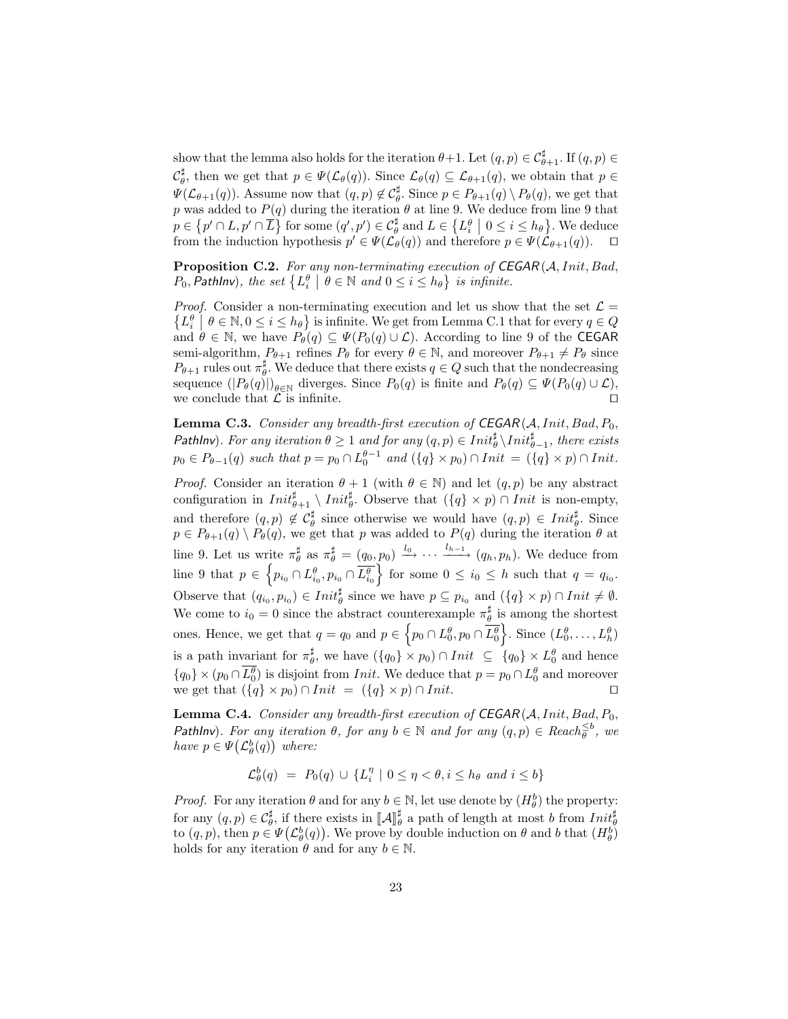show that the lemma also holds for the iteration  $\theta+1$ . Let  $(q, p) \in C^{\sharp}_{\theta+1}$ . If  $(q, p) \in C^{\sharp}_{\theta+1}$  $\mathcal{C}_{\theta}^{\sharp}$ , then we get that  $p \in \Psi(\mathcal{L}_{\theta}(q))$ . Since  $\mathcal{L}_{\theta}(q) \subseteq \mathcal{L}_{\theta+1}(q)$ , we obtain that  $p \in$  $\Psi(\mathcal{L}_{\theta+1}(q))$ . Assume now that  $(q, p) \notin \mathcal{C}_{\theta}^{\sharp}$ . Since  $p \in P_{\theta+1}(q) \setminus P_{\theta}(q)$ , we get that p was added to  $P(q)$  during the iteration  $\theta$  at line [9.](#page-10-4) We deduce from line [9](#page-10-4) that  $p \in \{p' \cap L, p' \cap \overline{L}\}$  for some  $(q', p') \in C^{\sharp}_{\theta}$  and  $L \in \{L^{\theta}_{i} \mid 0 \leq i \leq h_{\theta}\}$ . We deduce from the induction hypothesis  $p' \in \Psi(\mathcal{L}_{\theta}(q))$  and therefore  $p \in \Psi(\mathcal{L}_{\theta+1}(q))$ .  $\Box$ 

Proposition C.2. For any non-terminating execution of CEGAR(A, Init, Bad,  $P_0$ , Pathlnv), the set  $\{L_i^{\theta} \mid \theta \in \mathbb{N} \text{ and } 0 \leq i \leq h_{\theta}\}$  is infinite.

*Proof.* Consider a non-terminating execution and let us show that the set  $\mathcal{L} =$  $\{L_i^{\theta}\mid \theta \in \mathbb{N}, 0 \leq i \leq h_{\theta}\}\$ is infinite. We get from Lemma [C.1](#page-21-0) that for every  $q \in Q$ and  $\theta \in \mathbb{N}$ , we have  $P_{\theta}(q) \subseteq \Psi(P_0(q) \cup \mathcal{L})$ . According to line [9](#page-10-4) of the CEGAR semi-algorithm,  $P_{\theta+1}$  refines  $P_{\theta}$  for every  $\theta \in \mathbb{N}$ , and moreover  $P_{\theta+1} \neq P_{\theta}$  since  $P_{\theta+1}$  rules out  $\pi_{\theta}^{\sharp}$ . We deduce that there exists  $q \in Q$  such that the nondecreasing sequence  $(|P_{\theta}(q)|)_{\theta \in \mathbb{N}}$  diverges. Since  $P_0(q)$  is finite and  $P_{\theta}(q) \subseteq \Psi(P_0(q) \cup \mathcal{L}),$ we conclude that  $\mathcal L$  is infinite.

Lemma C.3. Consider any breadth-first execution of  $CEGAR(A,Init, Bad, P_0,$ PathInv). For any iteration  $\theta \geq 1$  and for any  $(q, p) \in Int_{\theta}^{\sharp} \setminus Int_{\theta-1}^{\sharp}$ , there exists  $p_0 \in P_{\theta-1}(q)$  such that  $p = p_0 \cap L_0^{\theta-1}$  and  $({q} \times p_0) \cap Int = ({q} \times p) \cap Int$ .

*Proof.* Consider an iteration  $\theta + 1$  (with  $\theta \in \mathbb{N}$ ) and let  $(q, p)$  be any abstract configuration in  $Init_{\theta+1}^{\sharp} \setminus Init_{\theta}^{\sharp}$ . Observe that  $({q} \times p) \cap Init$  is non-empty, and therefore  $(q, p) \notin C_{\theta}^{\sharp}$  since otherwise we would have  $(q, p) \in Int_{\theta}^{\sharp}$ . Since  $p \in P_{\theta+1}(q) \setminus P_{\theta}(q)$ , we get that p was added to  $P(q)$  during the iteration  $\theta$  at line [9.](#page-10-4) Let us write  $\pi_{\theta}^{\sharp}$  as  $\pi_{\theta}^{\sharp} = (q_0, p_0) \xrightarrow{l_0} \cdots \xrightarrow{l_{h-1}} (q_h, p_h)$ . We deduce from line [9](#page-10-4) that  $p \in \left\{p_{i_0} \cap L_{i_0}^{\theta}, p_{i_0} \cap \overline{L_{i_0}^{\theta}}\right\}$  for some  $0 \leq i_0 \leq h$  such that  $q = q_{i_0}$ . Observe that  $(q_{i_0}, p_{i_0}) \in \text{Init}_{\theta}^{\sharp}$  since we have  $p \subseteq p_{i_0}$  and  $({q} \times p) \cap \text{Init} \neq \emptyset$ . We come to  $i_0 = 0$  since the abstract counterexample  $\pi^\sharp_\theta$  is among the shortest ones. Hence, we get that  $q = q_0$  and  $p \in \left\{p_0 \cap L_0^{\theta}, p_0 \cap \overline{L_0^{\theta}}\right\}$ . Since  $(L_0^{\theta}, \ldots, L_h^{\theta})$ is a path invariant for  $\pi^{\sharp}_{\theta}$ , we have  $({q_0} \times p_0) \cap Init \subseteq {q_0} \times L_0^{\theta}$  and hence  $\{q_0\} \times (p_0 \cap L_0^{\theta})$  is disjoint from *Init*. We deduce that  $p = p_0 \cap L_0^{\theta}$  and moreover we get that  $({q} \times p_0) \cap Init = ({q} \times p) \cap Init.$ 

**Lemma C.4.** Consider any breadth-first execution of  $CEGAR(A,Init, Bad, P_0,$ PathInv). For any iteration  $\theta$ , for any  $b \in \mathbb{N}$  and for any  $(q, p) \in$  Reach $\frac{\leq b}{\theta}$ , we have  $p \in \Psi(\mathcal{L}^b_\theta(q))$  where:

$$
\mathcal{L}^b_\theta(q) \ = \ P_0(q) \ \cup \ \{L_i^\eta \ | \ 0 \leq \eta < \theta, i \leq h_\theta \ and \ i \leq b\}
$$

*Proof.* For any iteration  $\theta$  and for any  $b \in \mathbb{N}$ , let use denote by  $(H_{\theta}^{b})$  the property: for any  $(q, p) \in C^{\sharp}_{\theta}$ , if there exists in  $\llbracket A \rrbracket^{\sharp}$  a path of length at most b from  $Init^{\sharp}_{\theta}$ <br>to  $(q, p)$ , then  $p \in H(G^{\flat}(q))$ . We prove by double induction on  $\theta$  and  $h$  that  $(H^{\flat})$ to  $(q, p)$ , then  $p \in \Psi(\mathcal{L}^b_\theta(q))$ . We prove by double induction on  $\theta$  and b that  $(H^b_\theta)$ holds for any iteration  $\theta$  and for any  $b \in \mathbb{N}$ .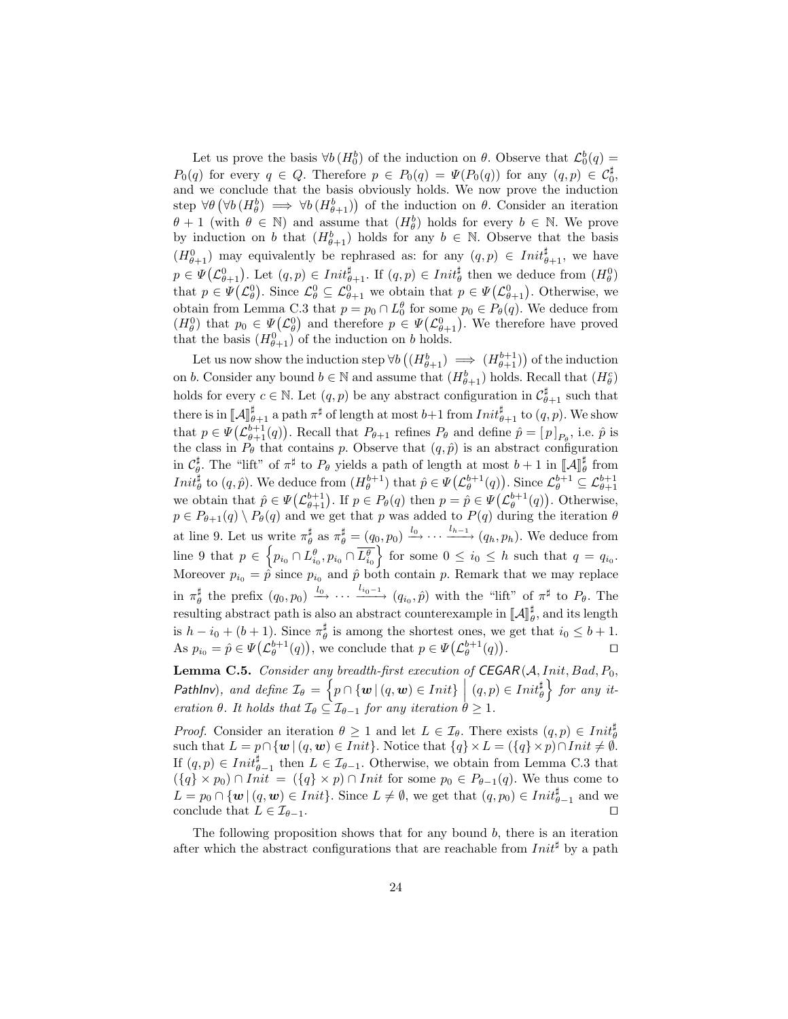Let us prove the basis  $\forall b (H_0^b)$  of the induction on  $\theta$ . Observe that  $\mathcal{L}_0^b(q) =$  $P_0(q)$  for every  $q \in Q$ . Therefore  $p \in P_0(q) = \Psi(P_0(q))$  for any  $(q, p) \in C_0^{\sharp}$ , and we conclude that the basis obviously holds. We now prove the induction step  $\forall \theta (\forall b (H_{\theta}^{b}) \implies \forall b (H_{\theta+1}^{b})$  of the induction on  $\theta$ . Consider an iteration  $\theta + 1$  (with  $\theta \in \mathbb{N}$ ) and assume that  $(H_{\theta}^{b})$  holds for every  $b \in \mathbb{N}$ . We prove by induction on b that  $(H_{\theta+1}^b)$  holds for any  $b \in \mathbb{N}$ . Observe that the basis  $(H_{\theta+1}^0)$  may equivalently be rephrased as: for any  $(q, p) \in Int_{\theta+1}^{\sharp}$ , we have  $p \in \Psi(\mathcal{L}^0_{\theta+1})$ . Let  $(q, p) \in \textit{Init}^{\sharp}_{\theta+1}$ . If  $(q, p) \in \textit{Init}^{\sharp}_{\theta}$  then we deduce from  $(H^0_{\theta})$ that  $p \in \Psi(\mathcal{L}_{\theta}^0)$ . Since  $\mathcal{L}_{\theta}^0 \subseteq \mathcal{L}_{\theta+1}^0$  we obtain that  $p \in \Psi(\mathcal{L}_{\theta+1}^0)$ . Otherwise, we obtain from Lemma [C.3](#page-19-0) that  $p = p_0 \cap L_0^{\theta}$  for some  $p_0 \in P_{\theta}(q)$ . We deduce from  $(H_{\theta}^0)$  that  $p_0 \in \Psi(\mathcal{L}_{\theta}^0)$  and therefore  $p \in \Psi(\mathcal{L}_{\theta+1}^0)$ . We therefore have proved that the basis  $(H_{\theta+1}^0)$  of the induction on b holds.

Let us now show the induction step  $\forall b \left( (H_{\theta+1}^b) \implies (H_{\theta+1}^{b+1}) \right)$  of the induction on b. Consider any bound  $b \in \mathbb{N}$  and assume that  $(H_{\theta+1}^b)$  holds. Recall that  $(H_{\theta}^c)$ holds for every  $c \in \mathbb{N}$ . Let  $(q, p)$  be any abstract configuration in  $\mathcal{C}_{\theta+1}^{\sharp}$  such that there is in  $\llbracket A \rrbracket_{\theta+1}^{\sharp}$  a path  $\pi^{\sharp}$  of length at most  $b+1$  from  $Init_{\theta+1}^{\sharp}$  to  $(q, p)$ . We show that  $p \in \Psi(\mathcal{L}_{\theta+1}^{b+1}(q))$ . Recall that  $P_{\theta+1}$  refines  $P_{\theta}$  and define  $\hat{p} = [p]_{P_{\theta}}$ , i.e.  $\hat{p}$  is the class in  $P_{\theta}$  that contains p. Observe that  $(q, \hat{p})$  is an abstract configuration in  $\mathcal{C}_{\phi}^{\sharp}$ . The "lift" of  $\pi^{\sharp}$  to  $P_{\theta}$  yields a path of length at most  $b + 1$  in  $\llbracket \mathcal{A} \rrbracket_{\theta}^{\sharp}$  from  $Init_{\theta}^{\sharp}$  to  $(q, \hat{p})$ . We deduce from  $(H_{\theta}^{b+1})$  that  $\hat{p} \in \Psi(\mathcal{L}_{\theta}^{b+1}(q))$ . Since  $\mathcal{L}_{\theta}^{b+1} \subseteq \mathcal{L}_{\theta+1}^{b+1}$ we obtain that  $\hat{p} \in \Psi(\mathcal{L}_{\theta+1}^{b+1})$ . If  $p \in P_{\theta}(q)$  then  $p = \hat{p} \in \Psi(\mathcal{L}_{\theta}^{b+1}(q))$ . Otherwise,  $p \in P_{\theta+1}(q) \setminus P_{\theta}(q)$  and we get that p was added to  $P(q)$  during the iteration  $\theta$ at line [9.](#page-10-4) Let us write  $\pi_{\theta}^{\sharp}$  as  $\pi_{\theta}^{\sharp} = (q_0, p_0) \xrightarrow{l_0} \cdots \xrightarrow{l_{h-1}} (q_h, p_h)$ . We deduce from line [9](#page-10-4) that  $p \in \left\{p_{i_0} \cap L_{i_0}^{\theta}, p_{i_0} \cap \overline{L_{i_0}^{\theta}}\right\}$  for some  $0 \leq i_0 \leq h$  such that  $q = q_{i_0}$ . Moreover  $p_{i_0} = \hat{p}$  since  $p_{i_0}$  and  $\hat{p}$  both contain p. Remark that we may replace in  $\pi_\theta^\sharp$  the prefix  $(q_0, p_0) \xrightarrow{l_0} \cdots \xrightarrow{l_{i_0-1}} (q_{i_0}, \hat{p})$  with the "lift" of  $\pi^\sharp$  to  $P_\theta$ . The resulting abstract path is also an abstract counterexample in  $\llbracket \mathcal{A} \rrbracket_{\theta}^{\sharp}$ , and its length is  $h - i_0 + (b + 1)$ . Since  $\pi^\sharp_\theta$  is among the shortest ones, we get that  $i_0 \leq b + 1$ . As  $p_{i_0} = \hat{p} \in \Psi(\mathcal{L}_{\theta}^{b+1}(q)),$  we conclude that  $p \in \Psi(\mathcal{L}_{\theta}^{b+1}(q))$ . The contract of  $\Box$ 

**Lemma C.5.** Consider any breadth-first execution of  $CEGAR(A,Init, Bad, P_0,$ Pathlnv), and define  $\mathcal{I}_{\theta} = \left\{ p \cap \{w \mid (q, w) \in Init \} \mid (q, p) \in Init \frac{\theta}{\theta} \right\}$  for any iteration  $\theta$ . It holds that  $\mathcal{I}_{\theta} \subseteq \mathcal{I}_{\theta-1}$  for any iteration  $\theta \geq 1$ .

*Proof.* Consider an iteration  $\theta \geq 1$  and let  $L \in \mathcal{I}_{\theta}$ . There exists  $(q, p) \in Init_{\theta}^{\sharp}$ such that  $L = p \cap \{w \mid (q, w) \in Init\}$ . Notice that  $\{q\} \times L = (\{q\} \times p) \cap Init \neq \emptyset$ . If  $(q, p) \in \text{Init}_{\theta-1}^{\sharp}$  then  $L \in \mathcal{I}_{\theta-1}$ . Otherwise, we obtain from Lemma [C.3](#page-19-0) that  $({q} \times p_0) \cap Init = ({q} \times p) \cap Init$  for some  $p_0 \in P_{\theta-1}(q)$ . We thus come to  $L = p_0 \cap \{ \boldsymbol{w} \mid (q, \boldsymbol{w}) \in Init \}.$  Since  $L \neq \emptyset$ , we get that  $(q, p_0) \in Init_{\theta-1}^{\sharp}$  and we conclude that  $L \in \mathcal{I}_{\theta-1}$ .

The following proposition shows that for any bound  $b$ , there is an iteration after which the abstract configurations that are reachable from  $Init^{\sharp}$  by a path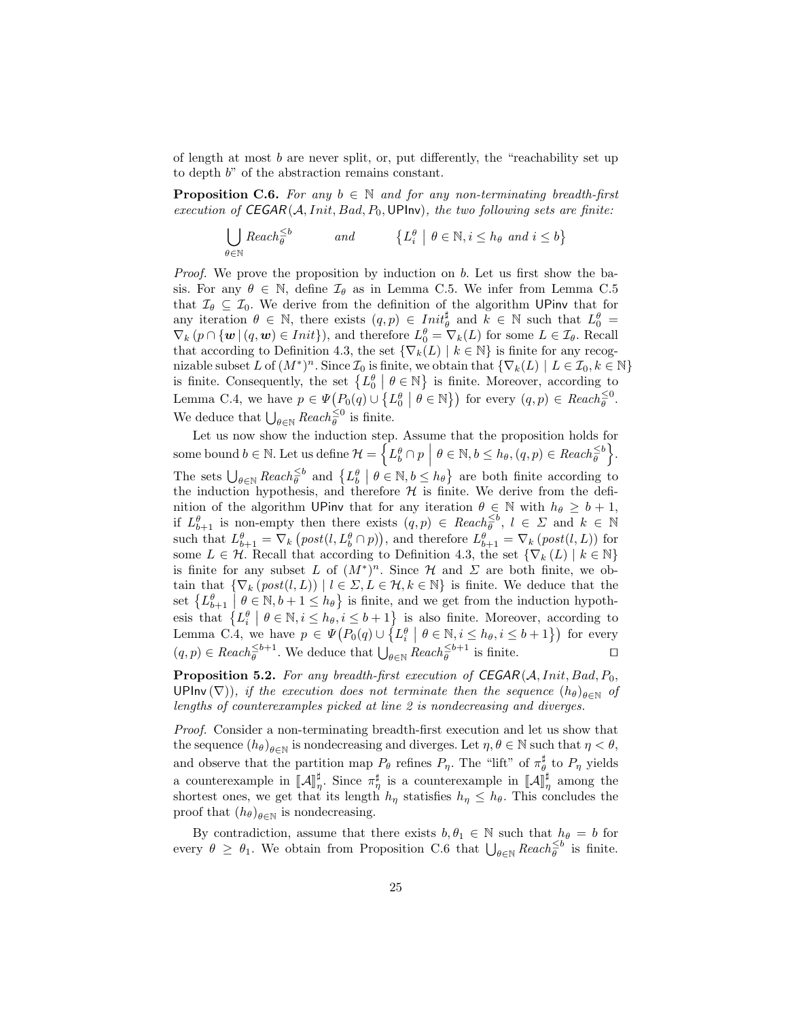of length at most  $b$  are never split, or, put differently, the "reachability set up to depth b" of the abstraction remains constant.

**Proposition C.6.** For any  $b \in \mathbb{N}$  and for any non-terminating breadth-first execution of  $CEGAR(A,Init, Bad, P_0, UP)$ , the two following sets are finite:

$$
\bigcup_{\theta \in \mathbb{N}} \text{Reach}_{\theta}^{\leq b} \qquad \text{and} \qquad \{L_i^{\theta} \mid \theta \in \mathbb{N}, i \leq h_{\theta} \text{ and } i \leq b\}
$$

Proof. We prove the proposition by induction on b. Let us first show the basis. For any  $\theta \in \mathbb{N}$ , define  $\mathcal{I}_{\theta}$  as in Lemma [C.5.](#page-20-0) We infer from Lemma [C.5](#page-20-0) that  $\mathcal{I}_{\theta} \subseteq \mathcal{I}_0$ . We derive from the definition of the algorithm UPinv that for any iteration  $\theta \in \mathbb{N}$ , there exists  $(q, p) \in \text{Init}_{\theta}^{\sharp}$  and  $\tilde{k} \in \mathbb{N}$  such that  $L_{0}^{\theta} =$  $\nabla_k (p \cap \{ \boldsymbol{w} \mid (q, \boldsymbol{w}) \in Init \}),$  and therefore  $L_0^{\theta} = \nabla_k(L)$  for some  $L \in \mathcal{I}_{\theta}$ . Recall that according to Definition [4.3,](#page-7-0) the set  $\{\nabla_k(L) \mid k \in \mathbb{N}\}\$ is finite for any recognizable subset L of  $(M^*)^n$ . Since  $\mathcal{I}_0$  is finite, we obtain that  $\{\nabla_k(L) \mid L \in \mathcal{I}_0, k \in \mathbb{N}\}\$ is finite. Consequently, the set  $\{L_0^{\theta} \mid \theta \in \mathbb{N}\}\$ is finite. Moreover, according to Lemma [C.4,](#page-19-1) we have  $p \in \Psi(P_0(q) \cup \{L_0^{\theta} \mid \theta \in \mathbb{N}\})$  for every  $(q, p) \in Reach_{\theta}^{\leq 0}$ . We deduce that  $\bigcup_{\theta \in \mathbb{N}} \text{Reach}_{\theta}^{\leq 0}$  is finite.

Let us now show the induction step. Assume that the proposition holds for some bound  $b \in \mathbb{N}$ . Let us define  $\mathcal{H} = \left\{ L_b^{\theta} \cap p \: \middle| \: \theta \in \mathbb{N}, b \leq h_{\theta}, (q, p) \in \text{Reach}_{\theta}^{\leq b} \right\}$ .  $\mid$ The sets  $\bigcup_{\theta \in \mathbb{N}} \text{Reach}_{\theta}^{\leq b}$  and  $\{L_b^{\theta} \mid \theta \in \mathbb{N}, b \leq h_{\theta}\}\$  are both finite according to the induction hypothesis, and therefore  $H$  is finite. We derive from the definition of the algorithm UPinv that for any iteration  $\theta \in \mathbb{N}$  with  $h_{\theta} \geq b + 1$ , if  $L^{\theta}_{b+1}$  is non-empty then there exists  $(q, p) \in$  Reach<sup> $\leq b$ </sup>,  $l \in \Sigma$  and  $k \in \mathbb{N}$ such that  $L_{b+1}^{\theta} = \nabla_k \left( post(l, L_b^{\theta} \cap p) \right)$ , and therefore  $L_{b+1}^{\theta} = \nabla_k \left( post(l, L) \right)$  for some  $L \in \mathcal{H}$ . Recall that according to Definition [4.3,](#page-7-0) the set  $\{\nabla_k(L) \mid k \in \mathbb{N}\}\$ is finite for any subset L of  $(M^*)^n$ . Since H and  $\Sigma$  are both finite, we obtain that  $\{\nabla_k (post(l, L)) \mid l \in \Sigma, L \in \mathcal{H}, k \in \mathbb{N}\}\$ is finite. We deduce that the set  $\{L_{b+1}^{\theta} \mid \theta \in \mathbb{N}, b+1 \leq h_{\theta}\}\$  is finite, and we get from the induction hypothset  $\{L_{b+1}^{\theta} \mid \theta \in \mathbb{N}, i \leq h_{\theta}, i \leq b+1\}$  is also finite. Moreover, according to Lemma [C.4,](#page-19-1) we have  $p \in \Psi(P_0(q) \cup \{L_i^{\theta} \mid \theta \in \mathbb{N}, i \leq h_{\theta}, i \leq b+1\})$  for every  $(q, p) \in \text{Reach}_{\theta}^{\leq b+1}$ . We deduce that  $\bigcup_{\theta \in \mathbb{N}} \text{Reach}_{\theta}^{\leq b+1}$  is finite.

**Proposition 5.2.** For any breadth-first execution of  $CEGAR(A,Init, Bad, P_0,$ UPInv ( $\nabla$ )), if the execution does not terminate then the sequence  $(h_{\theta})_{\theta \in \mathbb{N}}$  of lengths of counterexamples picked at line [2](#page-10-2) is nondecreasing and diverges.

Proof. Consider a non-terminating breadth-first execution and let us show that the sequence  $(h_{\theta})_{\theta \in \mathbb{N}}$  is nondecreasing and diverges. Let  $\eta, \theta \in \mathbb{N}$  such that  $\eta < \theta$ , and observe that the partition map  $P_{\theta}$  refines  $P_{\eta}$ . The "lift" of  $\pi^{\sharp}_{\theta}$  to  $P_{\eta}$  yields a counterexample in  $\llbracket \mathcal{A} \rrbracket^{\sharp}$ . Since  $\pi^{\sharp}_{\eta}$  is a counterexample in  $\llbracket \mathcal{A} \rrbracket^{\sharp}$  among the shortest ones we get that its length by statisfies  $h \leq h$ . This concludes the shortest ones, we get that its length  $h_{\eta}$  statisfies  $h_{\eta} \leq h_{\theta}$ . This concludes the proof that  $(h_{\theta})_{\theta \in \mathbb{N}}$  is nondecreasing.

By contradiction, assume that there exists  $b, \theta_1 \in \mathbb{N}$  such that  $h_{\theta} = b$  for every  $\theta \geq \theta_1$ . We obtain from Proposition [C.6](#page-21-1) that  $\bigcup_{\theta \in \mathbb{N}}$  Reach  $\xi$ <sup>5</sup> is finite.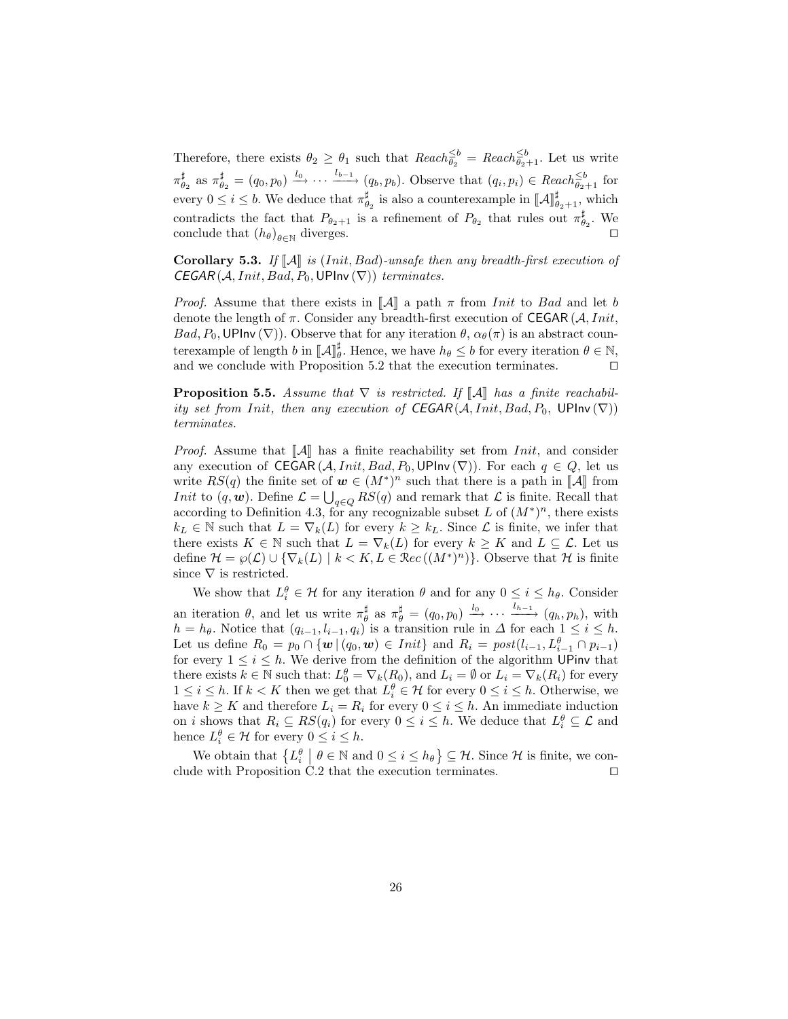Therefore, there exists  $\theta_2 \ge \theta_1$  such that  $Reach_{\theta_2}^{\le b} =Reach_{\theta_2+1}^{\le b}$ . Let us write  $\pi_{\theta_2}^{\sharp}$  as  $\pi_{\theta_2}^{\sharp} = (q_0, p_0) \stackrel{l_0}{\longrightarrow} \cdots \stackrel{l_{b-1}}{\longrightarrow} (q_b, p_b)$ . Observe that  $(q_i, p_i) \in \text{Reach}_{\theta_2+1}^{\leq b}$  for every  $0 \leq i \leq b$ . We deduce that  $\pi^{\sharp}_{\theta_2}$  is also a counterexample in  $[[\mathcal{A}]]^{\sharp}_{\theta_2+1}$ , which contradicts the fact that  $P_{\theta_2+1}$  is a refinement of  $P_{\theta_2}$  that rules out  $\pi_{\theta_2}^{\sharp}$ . We conclude that  $(h_{\theta})_{\theta \in \mathbb{N}}$  diverges.

Corollary 5.3. If  $\llbracket \mathcal{A} \rrbracket$  is (Init, Bad)-unsafe then any breadth-first execution of  $CEGAR(A,Init, Bad, P_0, UPInv(\nabla))$  terminates.

*Proof.* Assume that there exists in  $\|\mathcal{A}\|$  a path  $\pi$  from *Init* to *Bad* and let b denote the length of  $\pi$ . Consider any breadth-first execution of CEGAR (A, Init,  $Bad, P_0, UP$ Inv  $(\nabla)$ ). Observe that for any iteration  $\theta$ ,  $\alpha_{\theta}(\pi)$  is an abstract counterexample of length b in  $\llbracket \mathcal{A} \rrbracket_{\theta}^{\sharp}$ . Hence, we have  $h_{\theta} \leq b$  for every iteration  $\theta \in \mathbb{N}$ , and we conclude with Proposition [5.2](#page-10-8) that the execution terminates.  $\Box$ 

**Proposition 5.5.** Assume that  $\nabla$  is restricted. If  $\llbracket A \rrbracket$  has a finite reachability set from Init, then any execution of  $CEGAR(A,Init, Bad, P_0, UPInv(\nabla))$ terminates.

*Proof.* Assume that  $\llbracket \mathcal{A} \rrbracket$  has a finite reachability set from *Init*, and consider any execution of CEGAR  $(A,Init, Bad, P_0, UP \text{Inv}(\nabla))$ . For each  $q \in Q$ , let us write  $RS(q)$  the finite set of  $w \in (M^*)^n$  such that there is a path in [[A] from<br>Lait to  $(a, w)$ . Define  $C = \Box$   $RS(a)$  and remark that C is finite. Bessell that *Init* to  $(q, w)$ . Define  $\mathcal{L} = \bigcup_{q \in Q} RS(q)$  and remark that  $\mathcal{L}$  is finite. Recall that according to Definition [4.3,](#page-7-0) for any recognizable subset L of  $(M^*)^n$ , there exists  $k_L \in \mathbb{N}$  such that  $L = \nabla_k(L)$  for every  $k \geq k_L$ . Since  $\mathcal L$  is finite, we infer that there exists  $K \in \mathbb{N}$  such that  $L = \nabla_k(L)$  for every  $k \geq K$  and  $L \subseteq \mathcal{L}$ . Let us define  $\mathcal{H} = \wp(\mathcal{L}) \cup \{\nabla_k(L) \mid k < K, L \in \mathbb{R}ec((M^*)^n)\}.$  Observe that  $\mathcal{H}$  is finite since  $\nabla$  is restricted.

We show that  $L_i^{\theta} \in \mathcal{H}$  for any iteration  $\theta$  and for any  $0 \leq i \leq h_{\theta}$ . Consider an iteration  $\theta$ , and let us write  $\pi_{\theta}^{\sharp}$  as  $\pi_{\theta}^{\sharp} = (q_0, p_0) \xrightarrow{l_0} \cdots \xrightarrow{l_{h-1}} (q_h, p_h)$ , with  $h = h_{\theta}$ . Notice that  $(q_{i-1}, l_{i-1}, q_i)$  is a transition rule in  $\Delta$  for each  $1 \leq i \leq h$ . Let us define  $R_0 = p_0 \cap \{w \mid (q_0, w) \in Init\}$  and  $R_i = post(l_{i-1}, L^{\theta}_{i-1} \cap p_{i-1})$ for every  $1 \leq i \leq h$ . We derive from the definition of the algorithm UPinv that there exists  $k \in \mathbb{N}$  such that:  $L_0^{\theta} = \nabla_k(R_0)$ , and  $L_i = \emptyset$  or  $L_i = \nabla_k(R_i)$  for every  $1 \leq i \leq h$ . If  $k < K$  then we get that  $L_i^{\theta} \in \mathcal{H}$  for every  $0 \leq i \leq h$ . Otherwise, we have  $k \geq K$  and therefore  $L_i = R_i$  for every  $0 \leq i \leq h$ . An immediate induction on *i* shows that  $R_i \subseteq RS(q_i)$  for every  $0 \leq i \leq h$ . We deduce that  $L_i^{\theta} \subseteq \mathcal{L}$  and hence  $L_i^{\theta} \in \mathcal{H}$  for every  $0 \leq i \leq h$ .

We obtain that  $\{L_i^{\theta} \mid \theta \in \mathbb{N} \text{ and } 0 \leq i \leq h_{\theta}\} \subseteq \mathcal{H}$ . Since  $\mathcal{H}$  is finite, we con-clude with Proposition [C.2](#page-19-2) that the execution terminates.  $\Box$